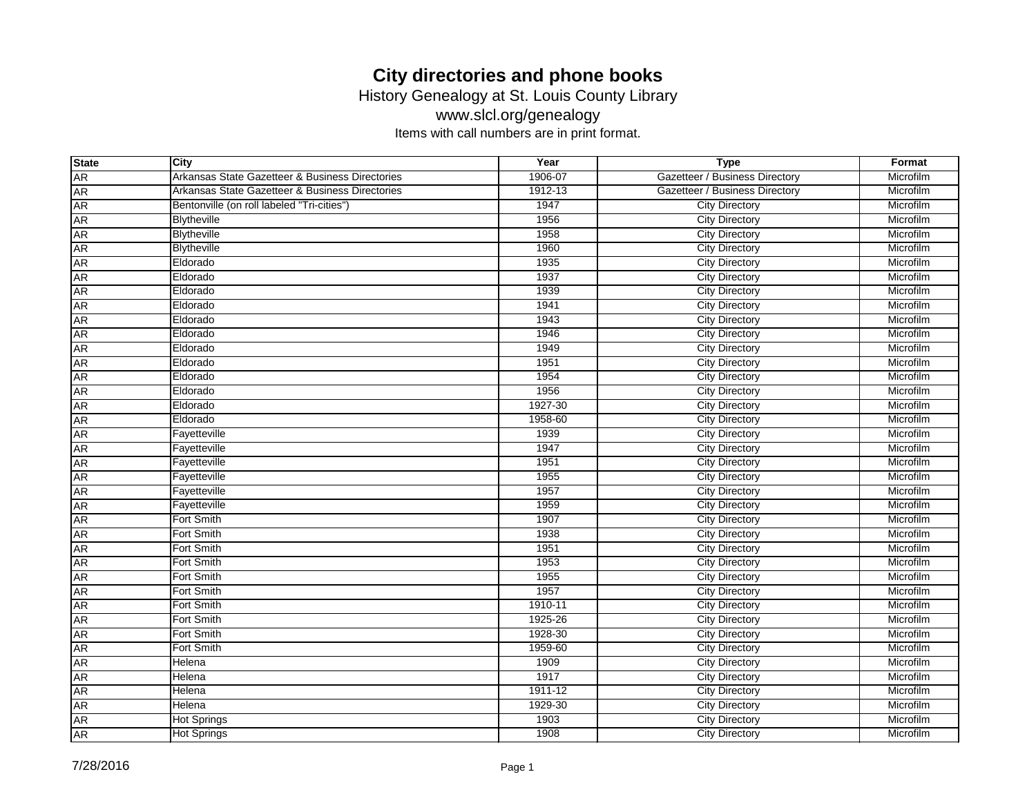History Genealogy at St. Louis County Library

www.slcl.org/genealogy

| <b>State</b> | City                                            | Year        | <b>Type</b>                    | Format    |
|--------------|-------------------------------------------------|-------------|--------------------------------|-----------|
| <b>AR</b>    | Arkansas State Gazetteer & Business Directories | 1906-07     | Gazetteer / Business Directory | Microfilm |
| <b>AR</b>    | Arkansas State Gazetteer & Business Directories | 1912-13     | Gazetteer / Business Directory | Microfilm |
| <b>AR</b>    | Bentonville (on roll labeled "Tri-cities")      | 1947        | <b>City Directory</b>          | Microfilm |
| <b>AR</b>    | <b>Blytheville</b>                              | 1956        | <b>City Directory</b>          | Microfilm |
| <b>AR</b>    | <b>Blytheville</b>                              | 1958        | <b>City Directory</b>          | Microfilm |
| <b>AR</b>    | <b>Blytheville</b>                              | 1960        | <b>City Directory</b>          | Microfilm |
| <b>AR</b>    | Eldorado                                        | 1935        | <b>City Directory</b>          | Microfilm |
| <b>AR</b>    | Eldorado                                        | 1937        | <b>City Directory</b>          | Microfilm |
| <b>AR</b>    | Eldorado                                        | 1939        | <b>City Directory</b>          | Microfilm |
| <b>AR</b>    | Eldorado                                        | 1941        | <b>City Directory</b>          | Microfilm |
| <b>AR</b>    | Eldorado                                        | 1943        | <b>City Directory</b>          | Microfilm |
| <b>AR</b>    | Eldorado                                        | 1946        | <b>City Directory</b>          | Microfilm |
| <b>AR</b>    | Eldorado                                        | 1949        | <b>City Directory</b>          | Microfilm |
| <b>AR</b>    | Eldorado                                        | 1951        | <b>City Directory</b>          | Microfilm |
| <b>AR</b>    | Eldorado                                        | 1954        | <b>City Directory</b>          | Microfilm |
| <b>AR</b>    | Eldorado                                        | 1956        | <b>City Directory</b>          | Microfilm |
| <b>AR</b>    | Eldorado                                        | 1927-30     | <b>City Directory</b>          | Microfilm |
| <b>AR</b>    | Eldorado                                        | 1958-60     | <b>City Directory</b>          | Microfilm |
| <b>AR</b>    | Fayetteville                                    | 1939        | <b>City Directory</b>          | Microfilm |
| <b>AR</b>    | Fayetteville                                    | 1947        | <b>City Directory</b>          | Microfilm |
| <b>AR</b>    | Fayetteville                                    | 1951        | <b>City Directory</b>          | Microfilm |
| <b>AR</b>    | Fayetteville                                    | 1955        | <b>City Directory</b>          | Microfilm |
| <b>AR</b>    | Fayetteville                                    | 1957        | <b>City Directory</b>          | Microfilm |
| <b>AR</b>    | Fayetteville                                    | 1959        | <b>City Directory</b>          | Microfilm |
| <b>AR</b>    | Fort Smith                                      | 1907        | <b>City Directory</b>          | Microfilm |
| <b>AR</b>    | Fort Smith                                      | 1938        | <b>City Directory</b>          | Microfilm |
| <b>AR</b>    | Fort Smith                                      | 1951        | <b>City Directory</b>          | Microfilm |
| <b>AR</b>    | Fort Smith                                      | 1953        | <b>City Directory</b>          | Microfilm |
| <b>AR</b>    | Fort Smith                                      | 1955        | <b>City Directory</b>          | Microfilm |
| <b>AR</b>    | Fort Smith                                      | 1957        | <b>City Directory</b>          | Microfilm |
| <b>AR</b>    | Fort Smith                                      | 1910-11     | <b>City Directory</b>          | Microfilm |
| <b>AR</b>    | Fort Smith                                      | 1925-26     | <b>City Directory</b>          | Microfilm |
| <b>AR</b>    | Fort Smith                                      | 1928-30     | <b>City Directory</b>          | Microfilm |
| <b>AR</b>    | Fort Smith                                      | 1959-60     | <b>City Directory</b>          | Microfilm |
| <b>AR</b>    | Helena                                          | 1909        | <b>City Directory</b>          | Microfilm |
| <b>AR</b>    | Helena                                          | 1917        | <b>City Directory</b>          | Microfilm |
| <b>AR</b>    | Helena                                          | $1911 - 12$ | <b>City Directory</b>          | Microfilm |
| <b>AR</b>    | Helena                                          | 1929-30     | <b>City Directory</b>          | Microfilm |
| <b>AR</b>    | <b>Hot Springs</b>                              | 1903        | <b>City Directory</b>          | Microfilm |
| <b>AR</b>    | <b>Hot Springs</b>                              | 1908        | <b>City Directory</b>          | Microfilm |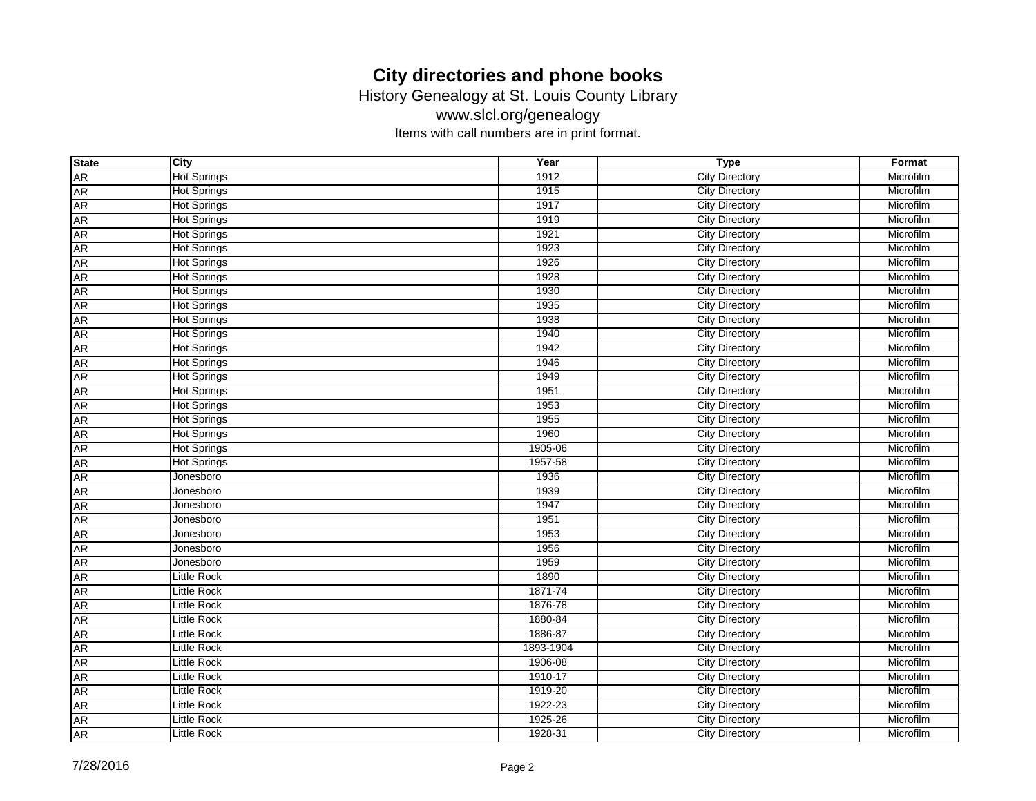History Genealogy at St. Louis County Library

www.slcl.org/genealogy

| <b>State</b> | <b>City</b>        | Year      | <b>Type</b>           | Format    |
|--------------|--------------------|-----------|-----------------------|-----------|
| <b>AR</b>    | <b>Hot Springs</b> | 1912      | <b>City Directory</b> | Microfilm |
| <b>AR</b>    | <b>Hot Springs</b> | 1915      | <b>City Directory</b> | Microfilm |
| <b>AR</b>    | <b>Hot Springs</b> | 1917      | <b>City Directory</b> | Microfilm |
| <b>AR</b>    | <b>Hot Springs</b> | 1919      | <b>City Directory</b> | Microfilm |
| <b>AR</b>    | <b>Hot Springs</b> | 1921      | <b>City Directory</b> | Microfilm |
| <b>AR</b>    | <b>Hot Springs</b> | 1923      | <b>City Directory</b> | Microfilm |
| <b>AR</b>    | <b>Hot Springs</b> | 1926      | <b>City Directory</b> | Microfilm |
| <b>AR</b>    | <b>Hot Springs</b> | 1928      | <b>City Directory</b> | Microfilm |
| <b>AR</b>    | <b>Hot Springs</b> | 1930      | <b>City Directory</b> | Microfilm |
| <b>AR</b>    | <b>Hot Springs</b> | 1935      | <b>City Directory</b> | Microfilm |
| <b>AR</b>    | <b>Hot Springs</b> | 1938      | <b>City Directory</b> | Microfilm |
| <b>AR</b>    | <b>Hot Springs</b> | 1940      | <b>City Directory</b> | Microfilm |
| <b>AR</b>    | <b>Hot Springs</b> | 1942      | <b>City Directory</b> | Microfilm |
| <b>AR</b>    | <b>Hot Springs</b> | 1946      | <b>City Directory</b> | Microfilm |
| <b>AR</b>    | <b>Hot Springs</b> | 1949      | <b>City Directory</b> | Microfilm |
| <b>AR</b>    | <b>Hot Springs</b> | 1951      | <b>City Directory</b> | Microfilm |
| <b>AR</b>    | <b>Hot Springs</b> | 1953      | <b>City Directory</b> | Microfilm |
| <b>AR</b>    | <b>Hot Springs</b> | 1955      | <b>City Directory</b> | Microfilm |
| <b>AR</b>    | <b>Hot Springs</b> | 1960      | <b>City Directory</b> | Microfilm |
| <b>AR</b>    | <b>Hot Springs</b> | 1905-06   | <b>City Directory</b> | Microfilm |
| <b>AR</b>    | <b>Hot Springs</b> | 1957-58   | <b>City Directory</b> | Microfilm |
| <b>AR</b>    | Jonesboro          | 1936      | <b>City Directory</b> | Microfilm |
| <b>AR</b>    | Jonesboro          | 1939      | <b>City Directory</b> | Microfilm |
| <b>AR</b>    | Jonesboro          | 1947      | <b>City Directory</b> | Microfilm |
| <b>AR</b>    | Jonesboro          | 1951      | <b>City Directory</b> | Microfilm |
| <b>AR</b>    | Jonesboro          | 1953      | <b>City Directory</b> | Microfilm |
| <b>AR</b>    | Jonesboro          | 1956      | <b>City Directory</b> | Microfilm |
| <b>AR</b>    | Jonesboro          | 1959      | <b>City Directory</b> | Microfilm |
| <b>AR</b>    | <b>Little Rock</b> | 1890      | <b>City Directory</b> | Microfilm |
| <b>AR</b>    | Little Rock        | 1871-74   | <b>City Directory</b> | Microfilm |
| <b>AR</b>    | <b>Little Rock</b> | 1876-78   | <b>City Directory</b> | Microfilm |
| <b>AR</b>    | <b>Little Rock</b> | 1880-84   | <b>City Directory</b> | Microfilm |
| <b>AR</b>    | <b>Little Rock</b> | 1886-87   | <b>City Directory</b> | Microfilm |
| <b>AR</b>    | <b>Little Rock</b> | 1893-1904 | <b>City Directory</b> | Microfilm |
| <b>AR</b>    | <b>Little Rock</b> | 1906-08   | <b>City Directory</b> | Microfilm |
| <b>AR</b>    | <b>Little Rock</b> | 1910-17   | <b>City Directory</b> | Microfilm |
| <b>AR</b>    | <b>Little Rock</b> | 1919-20   | <b>City Directory</b> | Microfilm |
| <b>AR</b>    | <b>Little Rock</b> | 1922-23   | <b>City Directory</b> | Microfilm |
| <b>AR</b>    | <b>Little Rock</b> | 1925-26   | <b>City Directory</b> | Microfilm |
| <b>AR</b>    | Little Rock        | 1928-31   | <b>City Directory</b> | Microfilm |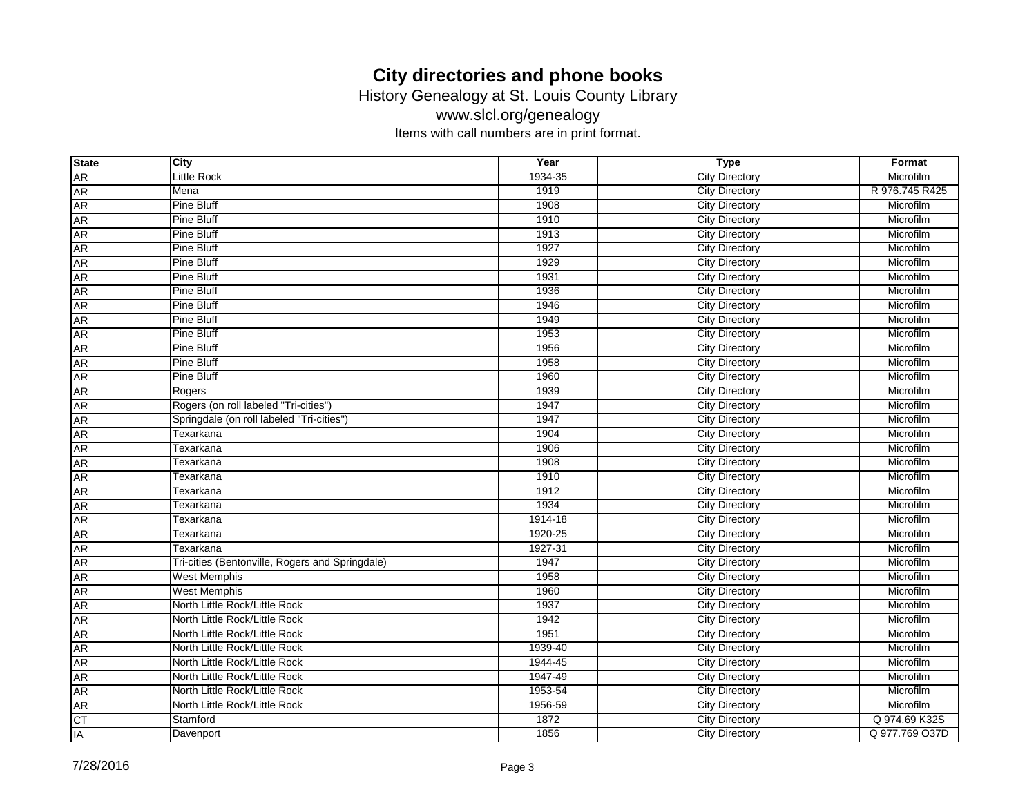History Genealogy at St. Louis County Library

www.slcl.org/genealogy

| <b>State</b> | City                                            | Year    | <b>Type</b>           | Format         |
|--------------|-------------------------------------------------|---------|-----------------------|----------------|
| <b>AR</b>    | <b>Little Rock</b>                              | 1934-35 | <b>City Directory</b> | Microfilm      |
| <b>AR</b>    | Mena                                            | 1919    | <b>City Directory</b> | R 976.745 R425 |
| AR           | <b>Pine Bluff</b>                               | 1908    | <b>City Directory</b> | Microfilm      |
| AR           | Pine Bluff                                      | 1910    | <b>City Directory</b> | Microfilm      |
| <b>AR</b>    | <b>Pine Bluff</b>                               | 1913    | <b>City Directory</b> | Microfilm      |
| <b>AR</b>    | <b>Pine Bluff</b>                               | 1927    | <b>City Directory</b> | Microfilm      |
| <b>AR</b>    | <b>Pine Bluff</b>                               | 1929    | <b>City Directory</b> | Microfilm      |
| <b>AR</b>    | <b>Pine Bluff</b>                               | 1931    | <b>City Directory</b> | Microfilm      |
| AR           | <b>Pine Bluff</b>                               | 1936    | <b>City Directory</b> | Microfilm      |
| AR           | <b>Pine Bluff</b>                               | 1946    | <b>City Directory</b> | Microfilm      |
| <b>AR</b>    | <b>Pine Bluff</b>                               | 1949    | <b>City Directory</b> | Microfilm      |
| <b>AR</b>    | <b>Pine Bluff</b>                               | 1953    | <b>City Directory</b> | Microfilm      |
| <b>AR</b>    | <b>Pine Bluff</b>                               | 1956    | <b>City Directory</b> | Microfilm      |
| AR           | <b>Pine Bluff</b>                               | 1958    | <b>City Directory</b> | Microfilm      |
| AR           | <b>Pine Bluff</b>                               | 1960    | <b>City Directory</b> | Microfilm      |
| <b>AR</b>    | Rogers                                          | 1939    | <b>City Directory</b> | Microfilm      |
| <b>AR</b>    | Rogers (on roll labeled "Tri-cities")           | 1947    | <b>City Directory</b> | Microfilm      |
| <b>AR</b>    | Springdale (on roll labeled "Tri-cities")       | 1947    | <b>City Directory</b> | Microfilm      |
| <b>AR</b>    | Texarkana                                       | 1904    | <b>City Directory</b> | Microfilm      |
| AR           | Texarkana                                       | 1906    | <b>City Directory</b> | Microfilm      |
| AR           | Texarkana                                       | 1908    | <b>City Directory</b> | Microfilm      |
| <b>AR</b>    | Texarkana                                       | 1910    | <b>City Directory</b> | Microfilm      |
| <b>AR</b>    | Texarkana                                       | 1912    | <b>City Directory</b> | Microfilm      |
| <b>AR</b>    | Texarkana                                       | 1934    | <b>City Directory</b> | Microfilm      |
| <b>AR</b>    | Texarkana                                       | 1914-18 | <b>City Directory</b> | Microfilm      |
| <b>AR</b>    | <b>Texarkana</b>                                | 1920-25 | <b>City Directory</b> | Microfilm      |
| AR           | Texarkana                                       | 1927-31 | <b>City Directory</b> | Microfilm      |
| <b>AR</b>    | Tri-cities (Bentonville, Rogers and Springdale) | 1947    | <b>City Directory</b> | Microfilm      |
| <b>AR</b>    | <b>West Memphis</b>                             | 1958    | <b>City Directory</b> | Microfilm      |
| <b>AR</b>    | <b>West Memphis</b>                             | 1960    | <b>City Directory</b> | Microfilm      |
| AR           | North Little Rock/Little Rock                   | 1937    | <b>City Directory</b> | Microfilm      |
| AR           | North Little Rock/Little Rock                   | 1942    | <b>City Directory</b> | Microfilm      |
| <b>AR</b>    | North Little Rock/Little Rock                   | 1951    | <b>City Directory</b> | Microfilm      |
| <b>AR</b>    | North Little Rock/Little Rock                   | 1939-40 | <b>City Directory</b> | Microfilm      |
| <b>AR</b>    | North Little Rock/Little Rock                   | 1944-45 | <b>City Directory</b> | Microfilm      |
| <b>AR</b>    | North Little Rock/Little Rock                   | 1947-49 | <b>City Directory</b> | Microfilm      |
| AR           | North Little Rock/Little Rock                   | 1953-54 | <b>City Directory</b> | Microfilm      |
| AR           | North Little Rock/Little Rock                   | 1956-59 | <b>City Directory</b> | Microfilm      |
| F            | Stamford                                        | 1872    | <b>City Directory</b> | Q 974.69 K32S  |
| IA           | Davenport                                       | 1856    | <b>City Directory</b> | Q 977.769 O37D |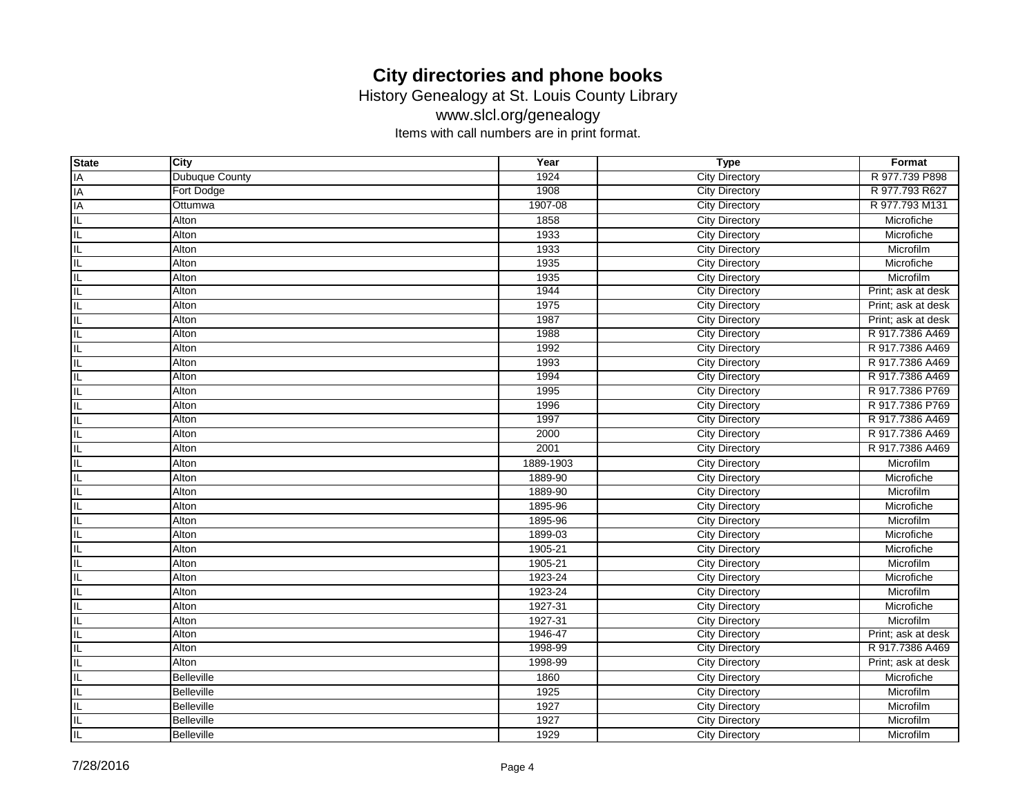History Genealogy at St. Louis County Library

www.slcl.org/genealogy

| <b>State</b> | City           | Year      | <b>Type</b>           | Format             |
|--------------|----------------|-----------|-----------------------|--------------------|
| IA           | Dubuque County | 1924      | <b>City Directory</b> | R 977.739 P898     |
| IA           | Fort Dodge     | 1908      | <b>City Directory</b> | R 977.793 R627     |
| IA           | Ottumwa        | 1907-08   | <b>City Directory</b> | R 977.793 M131     |
| IL           | Alton          | 1858      | City Directory        | Microfiche         |
| IL           | Alton          | 1933      | <b>City Directory</b> | Microfiche         |
| IL           | Alton          | 1933      | <b>City Directory</b> | Microfilm          |
| IL           | Alton          | 1935      | <b>City Directory</b> | Microfiche         |
| IL           | Alton          | 1935      | City Directory        | Microfilm          |
| IL           | Alton          | 1944      | <b>City Directory</b> | Print; ask at desk |
| IL           | Alton          | 1975      | <b>City Directory</b> | Print; ask at desk |
| IL           | Alton          | 1987      | <b>City Directory</b> | Print; ask at desk |
| IL           | Alton          | 1988      | <b>City Directory</b> | R 917.7386 A469    |
| IL           | Alton          | 1992      | <b>City Directory</b> | R 917.7386 A469    |
| IL           | Alton          | 1993      | <b>City Directory</b> | R 917.7386 A469    |
| IL           | Alton          | 1994      | <b>City Directory</b> | R 917.7386 A469    |
| IL           | Alton          | 1995      | <b>City Directory</b> | R 917.7386 P769    |
| ЧĒ,          | Alton          | 1996      | <b>City Directory</b> | R 917.7386 P769    |
| IL           | Alton          | 1997      | <b>City Directory</b> | R 917.7386 A469    |
| IL           | Alton          | 2000      | <b>City Directory</b> | R 917.7386 A469    |
| IL           | Alton          | 2001      | <b>City Directory</b> | R 917.7386 A469    |
| IL           | Alton          | 1889-1903 | <b>City Directory</b> | Microfilm          |
| IL           | Alton          | 1889-90   | <b>City Directory</b> | Microfiche         |
| IL           | Alton          | 1889-90   | <b>City Directory</b> | Microfilm          |
| IL           | Alton          | 1895-96   | <b>City Directory</b> | Microfiche         |
| IL           | Alton          | 1895-96   | <b>City Directory</b> | Microfilm          |
| IL           | Alton          | 1899-03   | <b>City Directory</b> | Microfiche         |
| IL           | Alton          | 1905-21   | <b>City Directory</b> | Microfiche         |
| IL           | Alton          | 1905-21   | <b>City Directory</b> | Microfilm          |
| IL           | Alton          | 1923-24   | <b>City Directory</b> | Microfiche         |
| IL           | Alton          | 1923-24   | <b>City Directory</b> | Microfilm          |
| IL           | Alton          | 1927-31   | <b>City Directory</b> | Microfiche         |
| IL           | Alton          | 1927-31   | <b>City Directory</b> | Microfilm          |
| IL           | Alton          | 1946-47   | <b>City Directory</b> | Print; ask at desk |
| IL           | Alton          | 1998-99   | <b>City Directory</b> | R 917.7386 A469    |
| IL           | Alton          | 1998-99   | <b>City Directory</b> | Print; ask at desk |
| IL           | Belleville     | 1860      | <b>City Directory</b> | Microfiche         |
| IL           | Belleville     | 1925      | <b>City Directory</b> | Microfilm          |
| IL           | Belleville     | 1927      | <b>City Directory</b> | Microfilm          |
| IL           | Belleville     | 1927      | <b>City Directory</b> | Microfilm          |
| IL.          | Belleville     | 1929      | <b>City Directory</b> | Microfilm          |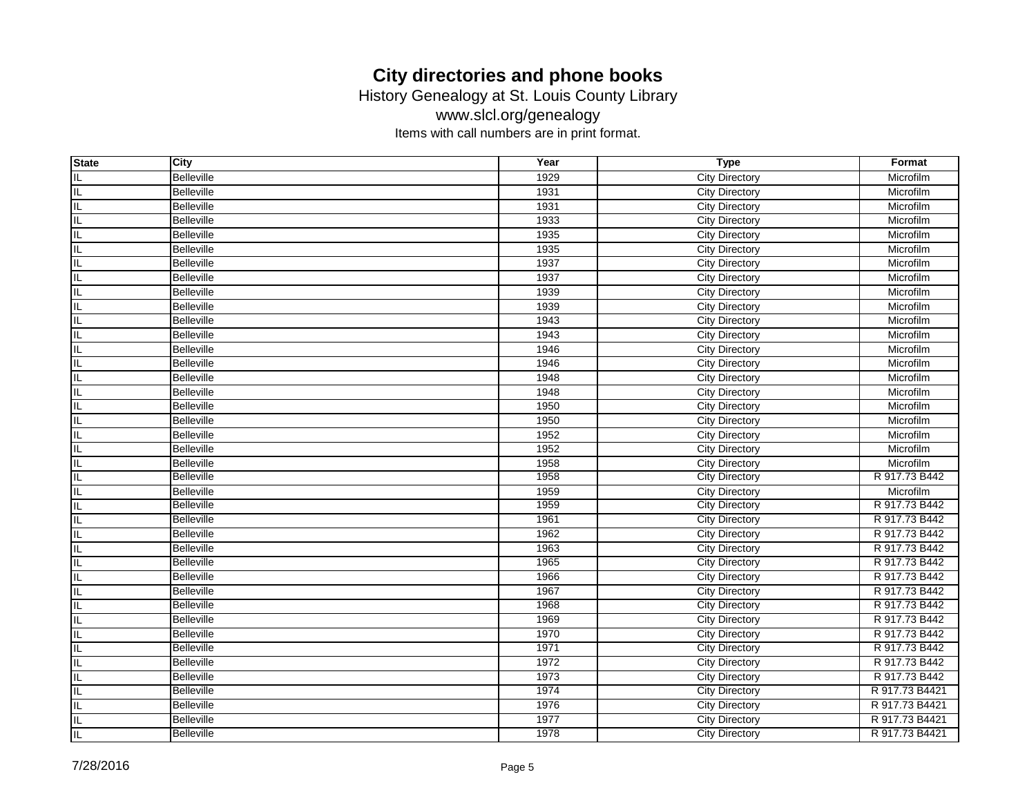History Genealogy at St. Louis County Library

www.slcl.org/genealogy

| <b>State</b> | <b>City</b>       | Year | <b>Type</b>           | Format         |
|--------------|-------------------|------|-----------------------|----------------|
| IL           | <b>Belleville</b> | 1929 | City Directory        | Microfilm      |
| IL           | <b>Belleville</b> | 1931 | <b>City Directory</b> | Microfilm      |
| IL           | <b>Belleville</b> | 1931 | City Directory        | Microfilm      |
| IL           | <b>Belleville</b> | 1933 | <b>City Directory</b> | Microfilm      |
| IL           | <b>Belleville</b> | 1935 | <b>City Directory</b> | Microfilm      |
| IL           | <b>Belleville</b> | 1935 | <b>City Directory</b> | Microfilm      |
| IL           | <b>Belleville</b> | 1937 | <b>City Directory</b> | Microfilm      |
| IL           | <b>Belleville</b> | 1937 | <b>City Directory</b> | Microfilm      |
| IL           | <b>Belleville</b> | 1939 | <b>City Directory</b> | Microfilm      |
| IL           | <b>Belleville</b> | 1939 | City Directory        | Microfilm      |
| IL           | <b>Belleville</b> | 1943 | <b>City Directory</b> | Microfilm      |
| IL           | <b>Belleville</b> | 1943 | <b>City Directory</b> | Microfilm      |
| IL           | <b>Belleville</b> | 1946 | <b>City Directory</b> | Microfilm      |
| IL           | <b>Belleville</b> | 1946 | <b>City Directory</b> | Microfilm      |
| IL           | <b>Belleville</b> | 1948 | <b>City Directory</b> | Microfilm      |
| IL           | <b>Belleville</b> | 1948 | City Directory        | Microfilm      |
| IL           | <b>Belleville</b> | 1950 | <b>City Directory</b> | Microfilm      |
| IL           | <b>Belleville</b> | 1950 | <b>City Directory</b> | Microfilm      |
| IL           | <b>Belleville</b> | 1952 | <b>City Directory</b> | Microfilm      |
| IL           | Belleville        | 1952 | <b>City Directory</b> | Microfilm      |
| IL           | <b>Belleville</b> | 1958 | <b>City Directory</b> | Microfilm      |
| IL           | Belleville        | 1958 | <b>City Directory</b> | R 917.73 B442  |
| IL           | <b>Belleville</b> | 1959 | <b>City Directory</b> | Microfilm      |
| IL           | <b>Belleville</b> | 1959 | <b>City Directory</b> | R 917.73 B442  |
| IL           | <b>Belleville</b> | 1961 | <b>City Directory</b> | R 917.73 B442  |
| IL           | <b>Belleville</b> | 1962 | <b>City Directory</b> | R 917.73 B442  |
| IL           | <b>Belleville</b> | 1963 | <b>City Directory</b> | R 917.73 B442  |
| IL           | <b>Belleville</b> | 1965 | <b>City Directory</b> | R 917.73 B442  |
| IL           | <b>Belleville</b> | 1966 | <b>City Directory</b> | R 917.73 B442  |
| IL           | <b>Belleville</b> | 1967 | <b>City Directory</b> | R 917.73 B442  |
| IL           | Belleville        | 1968 | <b>City Directory</b> | R 917.73 B442  |
| IL           | <b>Belleville</b> | 1969 | <b>City Directory</b> | R 917.73 B442  |
| IL           | <b>Belleville</b> | 1970 | <b>City Directory</b> | R 917.73 B442  |
| IL           | <b>Belleville</b> | 1971 | <b>City Directory</b> | R 917.73 B442  |
| IL           | <b>Belleville</b> | 1972 | <b>City Directory</b> | R 917.73 B442  |
| IL           | <b>Belleville</b> | 1973 | <b>City Directory</b> | R 917.73 B442  |
| IL           | <b>Belleville</b> | 1974 | <b>City Directory</b> | R 917.73 B4421 |
| IL           | <b>Belleville</b> | 1976 | <b>City Directory</b> | R 917.73 B4421 |
| IL           | <b>Belleville</b> | 1977 | <b>City Directory</b> | R 917.73 B4421 |
| IL           | <b>Belleville</b> | 1978 | <b>City Directory</b> | R 917.73 B4421 |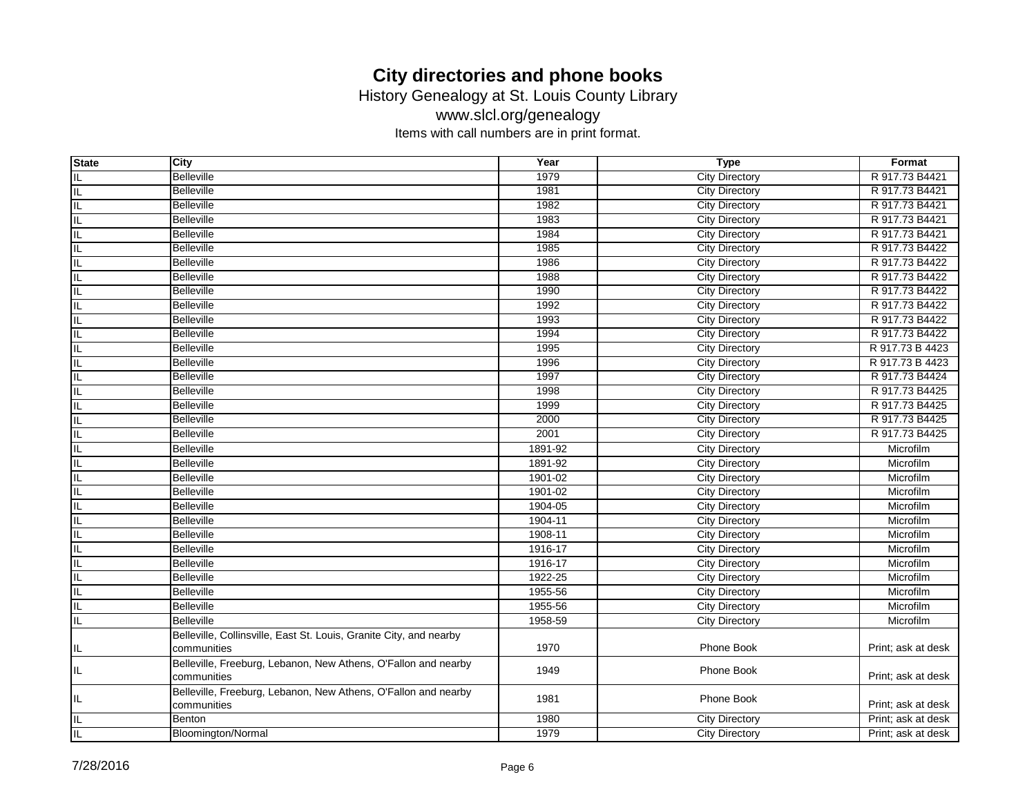History Genealogy at St. Louis County Library

www.slcl.org/genealogy

| <b>State</b> | City                                                                          | Year    | <b>Type</b>           | Format             |
|--------------|-------------------------------------------------------------------------------|---------|-----------------------|--------------------|
| IL           | <b>Belleville</b>                                                             | 1979    | <b>City Directory</b> | R 917.73 B4421     |
| IL           | <b>Belleville</b>                                                             | 1981    | <b>City Directory</b> | R 917.73 B4421     |
| IL           | <b>Belleville</b>                                                             | 1982    | <b>City Directory</b> | R 917.73 B4421     |
| IL           | <b>Belleville</b>                                                             | 1983    | <b>City Directory</b> | R 917.73 B4421     |
| IL           | <b>Belleville</b>                                                             | 1984    | <b>City Directory</b> | R 917.73 B4421     |
| IL           | <b>Belleville</b>                                                             | 1985    | <b>City Directory</b> | R 917.73 B4422     |
| IL           | <b>Belleville</b>                                                             | 1986    | <b>City Directory</b> | R 917.73 B4422     |
| IL           | <b>Belleville</b>                                                             | 1988    | <b>City Directory</b> | R 917.73 B4422     |
| IL           | <b>Belleville</b>                                                             | 1990    | <b>City Directory</b> | R 917.73 B4422     |
| IL           | <b>Belleville</b>                                                             | 1992    | <b>City Directory</b> | R 917.73 B4422     |
| IL           | <b>Belleville</b>                                                             | 1993    | <b>City Directory</b> | R 917.73 B4422     |
| IL           | <b>Belleville</b>                                                             | 1994    | <b>City Directory</b> | R 917.73 B4422     |
| IL           | <b>Belleville</b>                                                             | 1995    | <b>City Directory</b> | R 917.73 B 4423    |
| IL           | <b>Belleville</b>                                                             | 1996    | <b>City Directory</b> | R 917.73 B 4423    |
| IL           | <b>Belleville</b>                                                             | 1997    | <b>City Directory</b> | R 917.73 B4424     |
| IL           | <b>Belleville</b>                                                             | 1998    | <b>City Directory</b> | R 917.73 B4425     |
| IL           | <b>Belleville</b>                                                             | 1999    | <b>City Directory</b> | R 917.73 B4425     |
| IL           | <b>Belleville</b>                                                             | 2000    | <b>City Directory</b> | R 917.73 B4425     |
| IL           | <b>Belleville</b>                                                             | 2001    | <b>City Directory</b> | R 917.73 B4425     |
| IL           | <b>Belleville</b>                                                             | 1891-92 | <b>City Directory</b> | Microfilm          |
| IL           | <b>Belleville</b>                                                             | 1891-92 | <b>City Directory</b> | Microfilm          |
| IL           | <b>Belleville</b>                                                             | 1901-02 | <b>City Directory</b> | Microfilm          |
| IL           | <b>Belleville</b>                                                             | 1901-02 | <b>City Directory</b> | Microfilm          |
| IL           | <b>Belleville</b>                                                             | 1904-05 | <b>City Directory</b> | Microfilm          |
| IL           | <b>Belleville</b>                                                             | 1904-11 | <b>City Directory</b> | Microfilm          |
| IL           | <b>Belleville</b>                                                             | 1908-11 | <b>City Directory</b> | Microfilm          |
| IL           | <b>Belleville</b>                                                             | 1916-17 | <b>City Directory</b> | Microfilm          |
| $\mathsf{I}$ | <b>Belleville</b>                                                             | 1916-17 | <b>City Directory</b> | Microfilm          |
| IL           | <b>Belleville</b>                                                             | 1922-25 | <b>City Directory</b> | Microfilm          |
| IL           | <b>Belleville</b>                                                             | 1955-56 | <b>City Directory</b> | Microfilm          |
| IL           | <b>Belleville</b>                                                             | 1955-56 | <b>City Directory</b> | Microfilm          |
| IL           | <b>Belleville</b>                                                             | 1958-59 | <b>City Directory</b> | Microfilm          |
|              | Belleville, Collinsville, East St. Louis, Granite City, and nearby            |         |                       |                    |
| IL           | communities                                                                   | 1970    | Phone Book            | Print; ask at desk |
| IL.          | Belleville, Freeburg, Lebanon, New Athens, O'Fallon and nearby<br>communities | 1949    | Phone Book            | Print; ask at desk |
| ╙            | Belleville, Freeburg, Lebanon, New Athens, O'Fallon and nearby<br>communities | 1981    | Phone Book            | Print; ask at desk |
| IL           | Benton                                                                        | 1980    | <b>City Directory</b> | Print; ask at desk |
| $\sf IL$     | Bloomington/Normal                                                            | 1979    | <b>City Directory</b> | Print; ask at desk |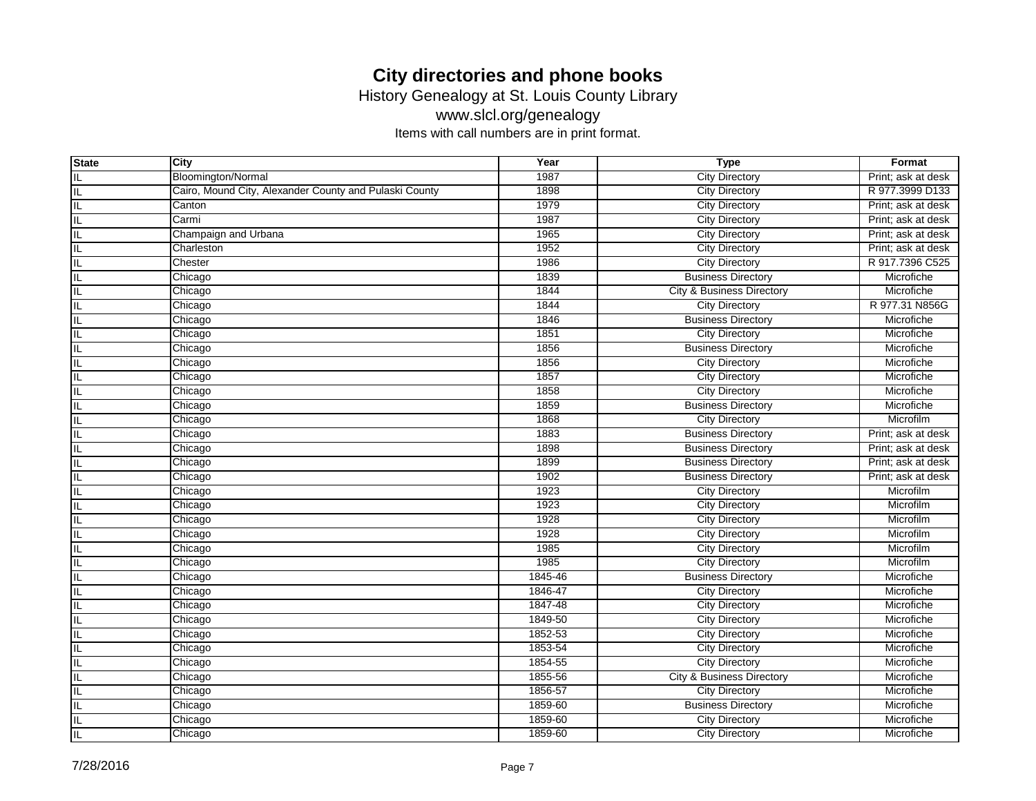History Genealogy at St. Louis County Library

www.slcl.org/genealogy

| <b>State</b> | City                                                   | Year    | <b>Type</b>                          | Format             |
|--------------|--------------------------------------------------------|---------|--------------------------------------|--------------------|
| IL           | Bloomington/Normal                                     | 1987    | <b>City Directory</b>                | Print: ask at desk |
| IL           | Cairo, Mound City, Alexander County and Pulaski County | 1898    | <b>City Directory</b>                | R 977.3999 D133    |
| IL           | Canton                                                 | 1979    | <b>City Directory</b>                | Print; ask at desk |
| IL           | Carmi                                                  | 1987    | <b>City Directory</b>                | Print; ask at desk |
| IL           | Champaign and Urbana                                   | 1965    | <b>City Directory</b>                | Print; ask at desk |
| IL           | Charleston                                             | 1952    | <b>City Directory</b>                | Print; ask at desk |
| IL           | Chester                                                | 1986    | <b>City Directory</b>                | R 917.7396 C525    |
| IL           | Chicago                                                | 1839    | <b>Business Directory</b>            | Microfiche         |
| IL           | Chicago                                                | 1844    | <b>City &amp; Business Directory</b> | Microfiche         |
| IL           | Chicago                                                | 1844    | <b>City Directory</b>                | R 977.31 N856G     |
| IL           | Chicago                                                | 1846    | <b>Business Directory</b>            | Microfiche         |
| IL           | Chicago                                                | 1851    | <b>City Directory</b>                | Microfiche         |
| IL           | Chicago                                                | 1856    | <b>Business Directory</b>            | Microfiche         |
| IL           | Chicago                                                | 1856    | <b>City Directory</b>                | Microfiche         |
| IL           | Chicago                                                | 1857    | <b>City Directory</b>                | Microfiche         |
| IL           | Chicago                                                | 1858    | <b>City Directory</b>                | Microfiche         |
| IL           | Chicago                                                | 1859    | <b>Business Directory</b>            | Microfiche         |
| IL           | Chicago                                                | 1868    | <b>City Directory</b>                | Microfilm          |
| IL           | Chicago                                                | 1883    | <b>Business Directory</b>            | Print; ask at desk |
| IL           | Chicago                                                | 1898    | <b>Business Directory</b>            | Print; ask at desk |
| IL           | Chicago                                                | 1899    | <b>Business Directory</b>            | Print; ask at desk |
| IL           | Chicago                                                | 1902    | <b>Business Directory</b>            | Print; ask at desk |
| IL           | Chicago                                                | 1923    | <b>City Directory</b>                | Microfilm          |
| IL           | Chicago                                                | 1923    | <b>City Directory</b>                | Microfilm          |
| IL           | Chicago                                                | 1928    | <b>City Directory</b>                | Microfilm          |
| IL           | Chicago                                                | 1928    | <b>City Directory</b>                | Microfilm          |
| IL           | Chicago                                                | 1985    | <b>City Directory</b>                | Microfilm          |
| IL           | Chicago                                                | 1985    | <b>City Directory</b>                | Microfilm          |
| IL           | Chicago                                                | 1845-46 | <b>Business Directory</b>            | Microfiche         |
| IL           | Chicago                                                | 1846-47 | <b>City Directory</b>                | Microfiche         |
| IL           | Chicago                                                | 1847-48 | <b>City Directory</b>                | Microfiche         |
| IL           | Chicago                                                | 1849-50 | <b>City Directory</b>                | Microfiche         |
| IL           | Chicago                                                | 1852-53 | <b>City Directory</b>                | Microfiche         |
| IL           | Chicago                                                | 1853-54 | <b>City Directory</b>                | Microfiche         |
| IL           | Chicago                                                | 1854-55 | <b>City Directory</b>                | Microfiche         |
| IL           | Chicago                                                | 1855-56 | City & Business Directory            | Microfiche         |
| IL           | Chicago                                                | 1856-57 | <b>City Directory</b>                | Microfiche         |
| IL           | Chicago                                                | 1859-60 | <b>Business Directory</b>            | Microfiche         |
| IL           | Chicago                                                | 1859-60 | <b>City Directory</b>                | Microfiche         |
| IL           | Chicago                                                | 1859-60 | <b>City Directory</b>                | Microfiche         |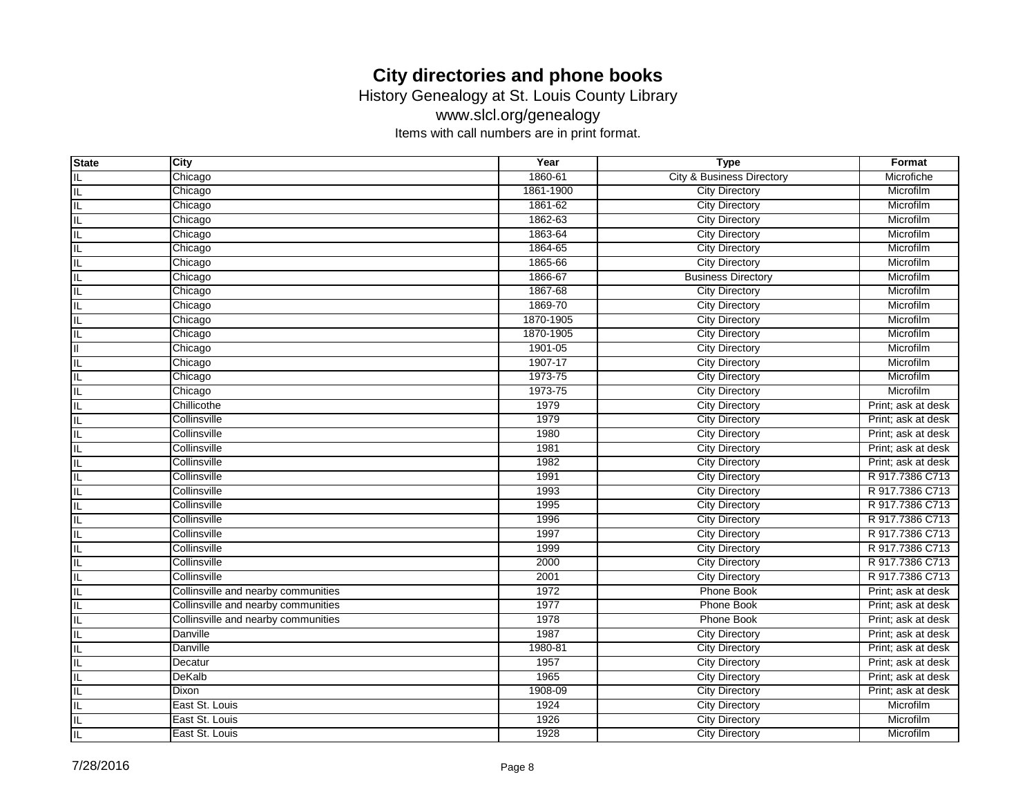History Genealogy at St. Louis County Library

www.slcl.org/genealogy

| <b>State</b> | City                                | Year      | <b>Type</b>                          | Format             |
|--------------|-------------------------------------|-----------|--------------------------------------|--------------------|
| IL           | Chicago                             | 1860-61   | <b>City &amp; Business Directory</b> | Microfiche         |
| IL           | Chicago                             | 1861-1900 | <b>City Directory</b>                | Microfilm          |
| IL           | Chicago                             | 1861-62   | <b>City Directory</b>                | Microfilm          |
| IL           | Chicago                             | 1862-63   | <b>City Directory</b>                | Microfilm          |
| IL           | Chicago                             | 1863-64   | <b>City Directory</b>                | Microfilm          |
| IL           | Chicago                             | 1864-65   | <b>City Directory</b>                | Microfilm          |
| IL           | Chicago                             | 1865-66   | <b>City Directory</b>                | Microfilm          |
| IL           | Chicago                             | 1866-67   | <b>Business Directory</b>            | Microfilm          |
| IL           | Chicago                             | 1867-68   | <b>City Directory</b>                | Microfilm          |
| IL           | Chicago                             | 1869-70   | <b>City Directory</b>                | Microfilm          |
| IL           | Chicago                             | 1870-1905 | <b>City Directory</b>                | Microfilm          |
| IL           | Chicago                             | 1870-1905 | <b>City Directory</b>                | Microfilm          |
| Ш            | Chicago                             | 1901-05   | <b>City Directory</b>                | Microfilm          |
| IL           | Chicago                             | 1907-17   | <b>City Directory</b>                | Microfilm          |
| IL           | Chicago                             | 1973-75   | <b>City Directory</b>                | Microfilm          |
| IL           | Chicago                             | 1973-75   | <b>City Directory</b>                | Microfilm          |
| IL           | Chillicothe                         | 1979      | <b>City Directory</b>                | Print; ask at desk |
| IL           | Collinsville                        | 1979      | <b>City Directory</b>                | Print; ask at desk |
| IL           | Collinsville                        | 1980      | <b>City Directory</b>                | Print; ask at desk |
| IL           | Collinsville                        | 1981      | <b>City Directory</b>                | Print; ask at desk |
| IL           | Collinsville                        | 1982      | <b>City Directory</b>                | Print; ask at desk |
| IL           | Collinsville                        | 1991      | <b>City Directory</b>                | R 917.7386 C713    |
| IL           | Collinsville                        | 1993      | <b>City Directory</b>                | R 917.7386 C713    |
| IL           | Collinsville                        | 1995      | <b>City Directory</b>                | R 917.7386 C713    |
| IL           | Collinsville                        | 1996      | <b>City Directory</b>                | R 917.7386 C713    |
| IL           | Collinsville                        | 1997      | <b>City Directory</b>                | R 917.7386 C713    |
| IL           | Collinsville                        | 1999      | <b>City Directory</b>                | R 917.7386 C713    |
| IL           | Collinsville                        | 2000      | <b>City Directory</b>                | R 917.7386 C713    |
| IL           | Collinsville                        | 2001      | <b>City Directory</b>                | R 917.7386 C713    |
| IL           | Collinsville and nearby communities | 1972      | <b>Phone Book</b>                    | Print; ask at desk |
| IL           | Collinsville and nearby communities | 1977      | <b>Phone Book</b>                    | Print; ask at desk |
| IL           | Collinsville and nearby communities | 1978      | <b>Phone Book</b>                    | Print; ask at desk |
| IL           | Danville                            | 1987      | <b>City Directory</b>                | Print; ask at desk |
| IL           | Danville                            | 1980-81   | <b>City Directory</b>                | Print; ask at desk |
| IL           | Decatur                             | 1957      | <b>City Directory</b>                | Print; ask at desk |
|              | <b>DeKalb</b>                       | 1965      | <b>City Directory</b>                | Print; ask at desk |
| IL           | Dixon                               | 1908-09   | <b>City Directory</b>                | Print; ask at desk |
| IL           | East St. Louis                      | 1924      | <b>City Directory</b>                | Microfilm          |
| IL           | East St. Louis                      | 1926      | <b>City Directory</b>                | Microfilm          |
| $\sf IL$     | East St. Louis                      | 1928      | <b>City Directory</b>                | Microfilm          |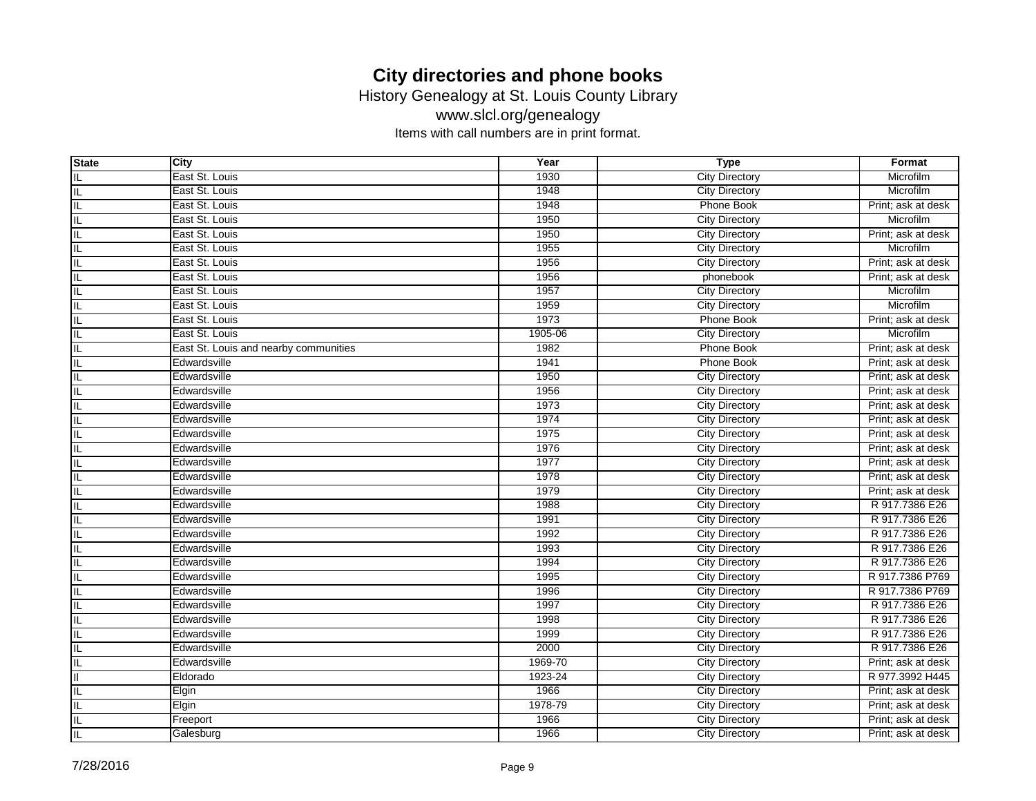History Genealogy at St. Louis County Library

www.slcl.org/genealogy

| <b>State</b>            | City                                  | Year    | <b>Type</b>           | Format             |
|-------------------------|---------------------------------------|---------|-----------------------|--------------------|
| IL                      | East St. Louis                        | 1930    | <b>City Directory</b> | Microfilm          |
| IL                      | East St. Louis                        | 1948    | <b>City Directory</b> | Microfilm          |
| IL                      | East St. Louis                        | 1948    | <b>Phone Book</b>     | Print; ask at desk |
| IL                      | East St. Louis                        | 1950    | <b>City Directory</b> | Microfilm          |
| IL                      | East St. Louis                        | 1950    | <b>City Directory</b> | Print; ask at desk |
| IL                      | East St. Louis                        | 1955    | <b>City Directory</b> | Microfilm          |
| IL                      | East St. Louis                        | 1956    | <b>City Directory</b> | Print; ask at desk |
| IL                      | East St. Louis                        | 1956    | phonebook             | Print; ask at desk |
| IL                      | East St. Louis                        | 1957    | <b>City Directory</b> | Microfilm          |
| IL                      | East St. Louis                        | 1959    | <b>City Directory</b> | Microfilm          |
| IL                      | East St. Louis                        | 1973    | Phone Book            | Print; ask at desk |
| IL                      | East St. Louis                        | 1905-06 | <b>City Directory</b> | Microfilm          |
| IL                      | East St. Louis and nearby communities | 1982    | Phone Book            | Print; ask at desk |
| IL                      | Edwardsville                          | 1941    | <b>Phone Book</b>     | Print; ask at desk |
| IL                      | Edwardsville                          | 1950    | <b>City Directory</b> | Print; ask at desk |
| IL                      | Edwardsville                          | 1956    | <b>City Directory</b> | Print; ask at desk |
| IL                      | Edwardsville                          | 1973    | <b>City Directory</b> | Print; ask at desk |
| IL                      | Edwardsville                          | 1974    | <b>City Directory</b> | Print; ask at desk |
| IL                      | Edwardsville                          | 1975    | <b>City Directory</b> | Print; ask at desk |
| IL                      | Edwardsville                          | 1976    | <b>City Directory</b> | Print; ask at desk |
| IL                      | Edwardsville                          | 1977    | <b>City Directory</b> | Print; ask at desk |
| IL                      | Edwardsville                          | 1978    | <b>City Directory</b> | Print; ask at desk |
| IL                      | Edwardsville                          | 1979    | <b>City Directory</b> | Print; ask at desk |
| IL                      | Edwardsville                          | 1988    | <b>City Directory</b> | R 917.7386 E26     |
| IL                      | Edwardsville                          | 1991    | <b>City Directory</b> | R 917.7386 E26     |
| IL                      | Edwardsville                          | 1992    | <b>City Directory</b> | R 917.7386 E26     |
| IL                      | Edwardsville                          | 1993    | <b>City Directory</b> | R 917.7386 E26     |
| IL                      | Edwardsville                          | 1994    | <b>City Directory</b> | R 917.7386 E26     |
| IL                      | Edwardsville                          | 1995    | <b>City Directory</b> | R 917.7386 P769    |
| IL                      | Edwardsville                          | 1996    | <b>City Directory</b> | R 917.7386 P769    |
| IL                      | Edwardsville                          | 1997    | <b>City Directory</b> | R 917.7386 E26     |
| IL                      | Edwardsville                          | 1998    | <b>City Directory</b> | R 917.7386 E26     |
| $\overline{\mathsf{I}}$ | Edwardsville                          | 1999    | <b>City Directory</b> | R 917,7386 E26     |
| IL                      | Edwardsville                          | 2000    | <b>City Directory</b> | R 917.7386 E26     |
| IL                      | Edwardsville                          | 1969-70 | <b>City Directory</b> | Print; ask at desk |
| Ш                       | Eldorado                              | 1923-24 | <b>City Directory</b> | R 977.3992 H445    |
| IL                      | Elgin                                 | 1966    | <b>City Directory</b> | Print; ask at desk |
| IL                      | Elgin                                 | 1978-79 | <b>City Directory</b> | Print; ask at desk |
| IL                      | Freeport                              | 1966    | <b>City Directory</b> | Print; ask at desk |
| $\sf IL$                | Galesburg                             | 1966    | <b>City Directory</b> | Print; ask at desk |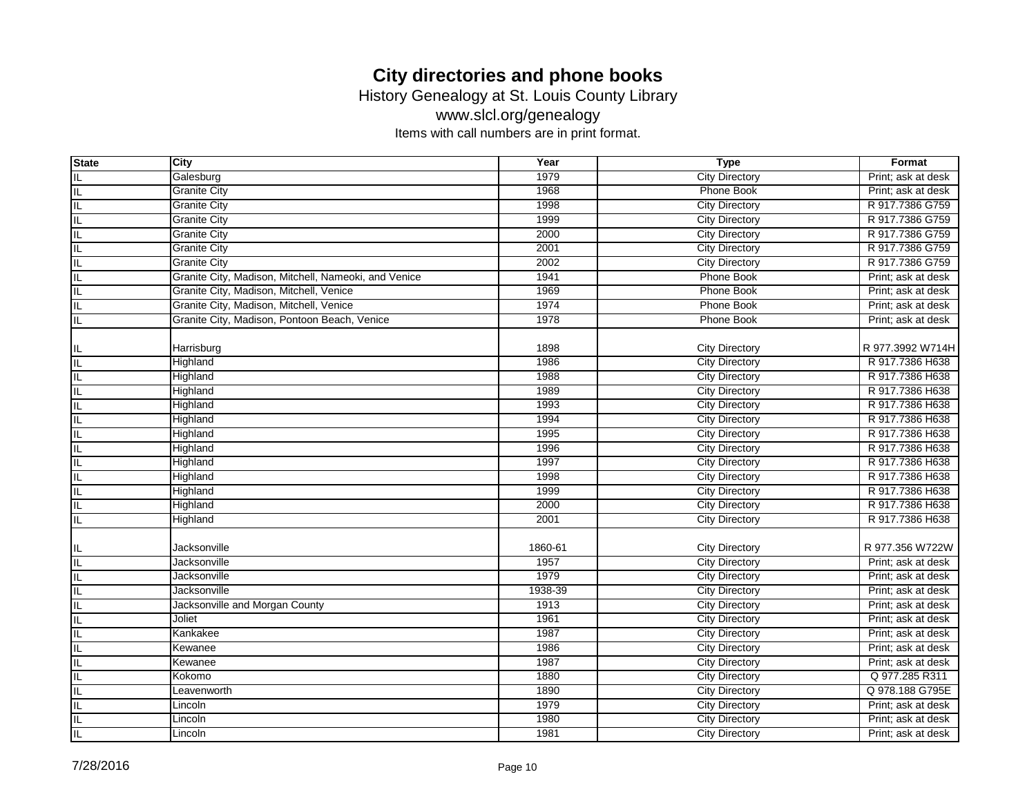History Genealogy at St. Louis County Library

www.slcl.org/genealogy

| <b>State</b>                        | City                                                 | Year    | <b>Type</b>           | Format             |
|-------------------------------------|------------------------------------------------------|---------|-----------------------|--------------------|
| ΙL                                  | Galesburg                                            | 1979    | <b>City Directory</b> | Print; ask at desk |
| ΙL                                  | <b>Granite City</b>                                  | 1968    | <b>Phone Book</b>     | Print; ask at desk |
| F                                   | <b>Granite City</b>                                  | 1998    | <b>City Directory</b> | R 917.7386 G759    |
| ΙL                                  | <b>Granite City</b>                                  | 1999    | <b>City Directory</b> | R 917.7386 G759    |
| IL.                                 | <b>Granite City</b>                                  | 2000    | <b>City Directory</b> | R 917.7386 G759    |
| IL                                  | <b>Granite City</b>                                  | 2001    | <b>City Directory</b> | R 917.7386 G759    |
| IL                                  | <b>Granite City</b>                                  | 2002    | <b>City Directory</b> | R 917.7386 G759    |
| ΙE                                  | Granite City, Madison, Mitchell, Nameoki, and Venice | 1941    | <b>Phone Book</b>     | Print; ask at desk |
| ΙL                                  | Granite City, Madison, Mitchell, Venice              | 1969    | <b>Phone Book</b>     | Print; ask at desk |
| ΙL                                  | Granite City, Madison, Mitchell, Venice              | 1974    | <b>Phone Book</b>     | Print; ask at desk |
| ΙL                                  | Granite City, Madison, Pontoon Beach, Venice         | 1978    | <b>Phone Book</b>     | Print; ask at desk |
| IL                                  | Harrisburg                                           | 1898    | <b>City Directory</b> | R 977.3992 W714H   |
| $\overline{\mathbb{I}}$             | Highland                                             | 1986    | <b>City Directory</b> | R 917.7386 H638    |
| $\overline{\mathsf{I}}$             | Highland                                             | 1988    | <b>City Directory</b> | R 917.7386 H638    |
| ΪĹ                                  | Highland                                             | 1989    | <b>City Directory</b> | R 917.7386 H638    |
| $\overline{\mathbb{L}}$             | Highland                                             | 1993    | <b>City Directory</b> | R 917.7386 H638    |
| $\overline{\mathsf{IL}}$            | Highland                                             | 1994    | <b>City Directory</b> | R 917.7386 H638    |
| ΙL                                  | Highland                                             | 1995    | <b>City Directory</b> | R 917.7386 H638    |
| ΙL                                  | Highland                                             | 1996    | <b>City Directory</b> | R 917.7386 H638    |
| F                                   | Highland                                             | 1997    | <b>City Directory</b> | R 917.7386 H638    |
| $\overline{\overline{\mathsf{IL}}}$ | Highland                                             | 1998    | <b>City Directory</b> | R 917.7386 H638    |
| $\overline{\mathsf{I}}$             | Highland                                             | 1999    | <b>City Directory</b> | R 917.7386 H638    |
| $\overline{\mathsf{I}}$             | Highland                                             | 2000    | <b>City Directory</b> | R 917.7386 H638    |
| $\overline{\mathsf{I}}$             | Highland                                             | 2001    | <b>City Directory</b> | R 917.7386 H638    |
| IL                                  | Jacksonville                                         | 1860-61 | <b>City Directory</b> | R 977.356 W722W    |
| $\overline{\mathbb{L}}$             | <b>Jacksonville</b>                                  | 1957    | <b>City Directory</b> | Print; ask at desk |
| $\overline{\mathsf{IL}}$            | Jacksonville                                         | 1979    | <b>City Directory</b> | Print; ask at desk |
| ΙE                                  | Jacksonville                                         | 1938-39 | <b>City Directory</b> | Print; ask at desk |
|                                     | Jacksonville and Morgan County                       | 1913    | <b>City Directory</b> | Print; ask at desk |
|                                     | Joliet                                               | 1961    | <b>City Directory</b> | Print; ask at desk |
| $\equiv  \equiv $                   | Kankakee                                             | 1987    | <b>City Directory</b> | Print; ask at desk |
| ĪΓ                                  | Kewanee                                              | 1986    | <b>City Directory</b> | Print; ask at desk |
| IL                                  | Kewanee                                              | 1987    | <b>City Directory</b> | Print; ask at desk |
| IL                                  | Kokomo                                               | 1880    | <b>City Directory</b> | Q 977.285 R311     |
| IL                                  | Leavenworth                                          | 1890    | <b>City Directory</b> | Q 978.188 G795E    |
| ΞI                                  | Lincoln                                              | 1979    | <b>City Directory</b> | Print; ask at desk |
| $\overline{\mathsf{I}}$             | Lincoln                                              | 1980    | <b>City Directory</b> | Print; ask at desk |
| $\equiv$                            | Lincoln                                              | 1981    | <b>City Directory</b> | Print; ask at desk |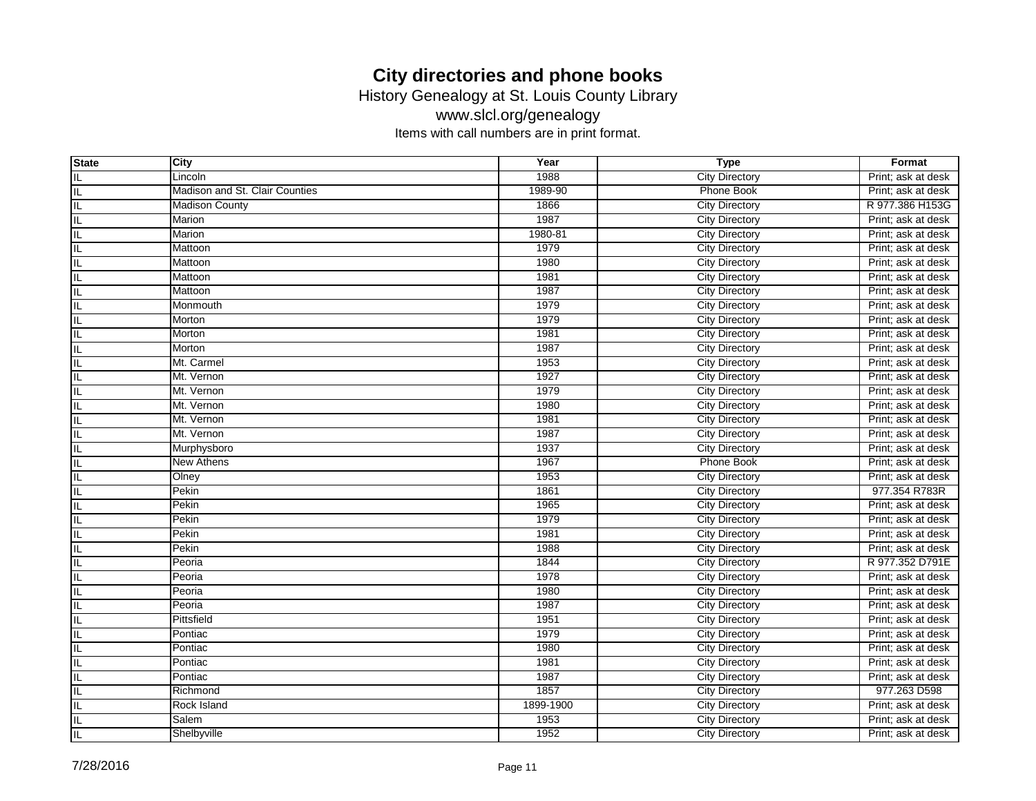History Genealogy at St. Louis County Library

www.slcl.org/genealogy

| <b>State</b> | City                           | Year      | <b>Type</b>           | Format             |
|--------------|--------------------------------|-----------|-----------------------|--------------------|
| IL           | Lincoln                        | 1988      | <b>City Directory</b> | Print; ask at desk |
| IL           | Madison and St. Clair Counties | 1989-90   | <b>Phone Book</b>     | Print; ask at desk |
| IL           | <b>Madison County</b>          | 1866      | <b>City Directory</b> | R 977.386 H153G    |
| IL           | <b>Marion</b>                  | 1987      | <b>City Directory</b> | Print; ask at desk |
| IL           | <b>Marion</b>                  | 1980-81   | <b>City Directory</b> | Print; ask at desk |
| IL           | Mattoon                        | 1979      | <b>City Directory</b> | Print; ask at desk |
| IL           | Mattoon                        | 1980      | <b>City Directory</b> | Print; ask at desk |
| IL           | Mattoon                        | 1981      | <b>City Directory</b> | Print; ask at desk |
| IL           | Mattoon                        | 1987      | <b>City Directory</b> | Print; ask at desk |
| IL           | Monmouth                       | 1979      | <b>City Directory</b> | Print; ask at desk |
| IL           | Morton                         | 1979      | <b>City Directory</b> | Print; ask at desk |
| IL           | Morton                         | 1981      | <b>City Directory</b> | Print; ask at desk |
| IL           | Morton                         | 1987      | <b>City Directory</b> | Print; ask at desk |
| IL           | Mt. Carmel                     | 1953      | <b>City Directory</b> | Print; ask at desk |
| IL           | Mt. Vernon                     | 1927      | <b>City Directory</b> | Print; ask at desk |
| IL           | Mt. Vernon                     | 1979      | <b>City Directory</b> | Print; ask at desk |
| IL           | Mt. Vernon                     | 1980      | <b>City Directory</b> | Print; ask at desk |
| IL           | Mt. Vernon                     | 1981      | <b>City Directory</b> | Print; ask at desk |
| IL           | Mt. Vernon                     | 1987      | <b>City Directory</b> | Print; ask at desk |
| IL           | Murphysboro                    | 1937      | <b>City Directory</b> | Print; ask at desk |
| IL           | <b>New Athens</b>              | 1967      | <b>Phone Book</b>     | Print; ask at desk |
| IL           | Olney                          | 1953      | <b>City Directory</b> | Print; ask at desk |
| IL           | Pekin                          | 1861      | <b>City Directory</b> | 977.354 R783R      |
| IL           | Pekin                          | 1965      | <b>City Directory</b> | Print; ask at desk |
| IL           | Pekin                          | 1979      | <b>City Directory</b> | Print; ask at desk |
| IL           | Pekin                          | 1981      | <b>City Directory</b> | Print; ask at desk |
| IL           | Pekin                          | 1988      | <b>City Directory</b> | Print; ask at desk |
| IL           | Peoria                         | 1844      | <b>City Directory</b> | R 977.352 D791E    |
| IL           | Peoria                         | 1978      | <b>City Directory</b> | Print; ask at desk |
| IL           | Peoria                         | 1980      | <b>City Directory</b> | Print; ask at desk |
| IL           | Peoria                         | 1987      | <b>City Directory</b> | Print; ask at desk |
| IL           | Pittsfield                     | 1951      | <b>City Directory</b> | Print; ask at desk |
| IL           | Pontiac                        | 1979      | <b>City Directory</b> | Print; ask at desk |
| IL           | Pontiac                        | 1980      | <b>City Directory</b> | Print; ask at desk |
| IL           | Pontiac                        | 1981      | <b>City Directory</b> | Print; ask at desk |
|              | Pontiac                        | 1987      | <b>City Directory</b> | Print; ask at desk |
| IL           | Richmond                       | 1857      | <b>City Directory</b> | 977.263 D598       |
| IL           | Rock Island                    | 1899-1900 | <b>City Directory</b> | Print; ask at desk |
| IL           | Salem                          | 1953      | <b>City Directory</b> | Print; ask at desk |
| $\sf IL$     | Shelbyville                    | 1952      | <b>City Directory</b> | Print; ask at desk |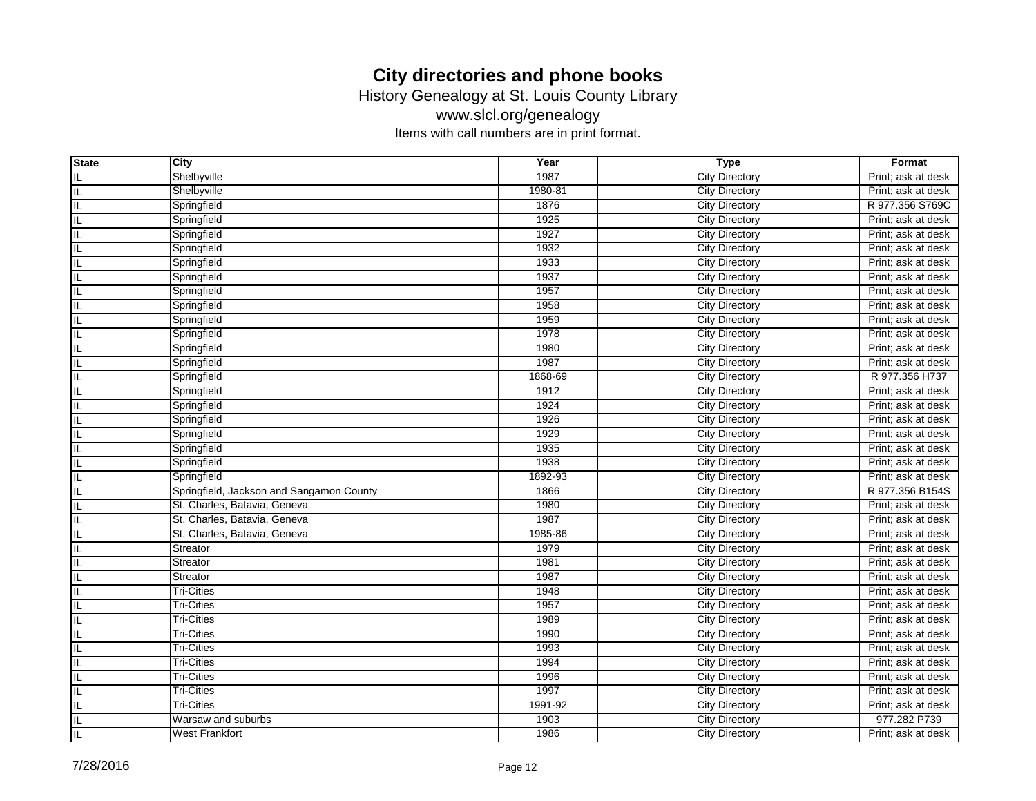History Genealogy at St. Louis County Library

www.slcl.org/genealogy

| <b>State</b> | City                                     | Year    | <b>Type</b>           | Format             |
|--------------|------------------------------------------|---------|-----------------------|--------------------|
| IL           | Shelbyville                              | 1987    | <b>City Directory</b> | Print; ask at desk |
| IL           | Shelbyville                              | 1980-81 | <b>City Directory</b> | Print; ask at desk |
| IL           | Springfield                              | 1876    | <b>City Directory</b> | R 977.356 S769C    |
| IL           | Springfield                              | 1925    | <b>City Directory</b> | Print; ask at desk |
| IL           | Springfield                              | 1927    | <b>City Directory</b> | Print; ask at desk |
| IL           | Springfield                              | 1932    | <b>City Directory</b> | Print; ask at desk |
| IL           | Springfield                              | 1933    | <b>City Directory</b> | Print; ask at desk |
| IL           | Springfield                              | 1937    | <b>City Directory</b> | Print; ask at desk |
| IL           | Springfield                              | 1957    | <b>City Directory</b> | Print; ask at desk |
| IL           | Springfield                              | 1958    | <b>City Directory</b> | Print; ask at desk |
| IL           | Springfield                              | 1959    | <b>City Directory</b> | Print; ask at desk |
| IL           | Springfield                              | 1978    | <b>City Directory</b> | Print; ask at desk |
|              | Springfield                              | 1980    | <b>City Directory</b> | Print; ask at desk |
| IL           | Springfield                              | 1987    | <b>City Directory</b> | Print; ask at desk |
| IL           | Springfield                              | 1868-69 | <b>City Directory</b> | R 977.356 H737     |
| IL           | Springfield                              | 1912    | <b>City Directory</b> | Print; ask at desk |
| IL           | Springfield                              | 1924    | <b>City Directory</b> | Print; ask at desk |
| IL           | Springfield                              | 1926    | <b>City Directory</b> | Print; ask at desk |
| IL           | Springfield                              | 1929    | <b>City Directory</b> | Print; ask at desk |
| IL           | Springfield                              | 1935    | <b>City Directory</b> | Print; ask at desk |
| IL           | Springfield                              | 1938    | <b>City Directory</b> | Print; ask at desk |
| IL           | Springfield                              | 1892-93 | <b>City Directory</b> | Print; ask at desk |
| IL           | Springfield, Jackson and Sangamon County | 1866    | <b>City Directory</b> | R 977.356 B154S    |
| IL           | St. Charles, Batavia, Geneva             | 1980    | <b>City Directory</b> | Print; ask at desk |
| IL           | St. Charles, Batavia, Geneva             | 1987    | <b>City Directory</b> | Print; ask at desk |
| IL           | St. Charles, Batavia, Geneva             | 1985-86 | <b>City Directory</b> | Print; ask at desk |
| IL           | Streator                                 | 1979    | <b>City Directory</b> | Print; ask at desk |
| IL           | <b>Streator</b>                          | 1981    | <b>City Directory</b> | Print; ask at desk |
| IL           | Streator                                 | 1987    | <b>City Directory</b> | Print; ask at desk |
| IL           | <b>Tri-Cities</b>                        | 1948    | <b>City Directory</b> | Print; ask at desk |
| IL           | <b>Tri-Cities</b>                        | 1957    | <b>City Directory</b> | Print; ask at desk |
| IL           | <b>Tri-Cities</b>                        | 1989    | <b>City Directory</b> | Print; ask at desk |
| IL           | <b>Tri-Cities</b>                        | 1990    | <b>City Directory</b> | Print; ask at desk |
| IL           | <b>Tri-Cities</b>                        | 1993    | <b>City Directory</b> | Print; ask at desk |
| IL           | <b>Tri-Cities</b>                        | 1994    | <b>City Directory</b> | Print; ask at desk |
| IL           | <b>Tri-Cities</b>                        | 1996    | <b>City Directory</b> | Print; ask at desk |
| IL           | <b>Tri-Cities</b>                        | 1997    | <b>City Directory</b> | Print; ask at desk |
| IL           | <b>Tri-Cities</b>                        | 1991-92 | <b>City Directory</b> | Print; ask at desk |
| IL           | Warsaw and suburbs                       | 1903    | <b>City Directory</b> | 977.282 P739       |
| IL           | West Frankfort                           | 1986    | <b>City Directory</b> | Print; ask at desk |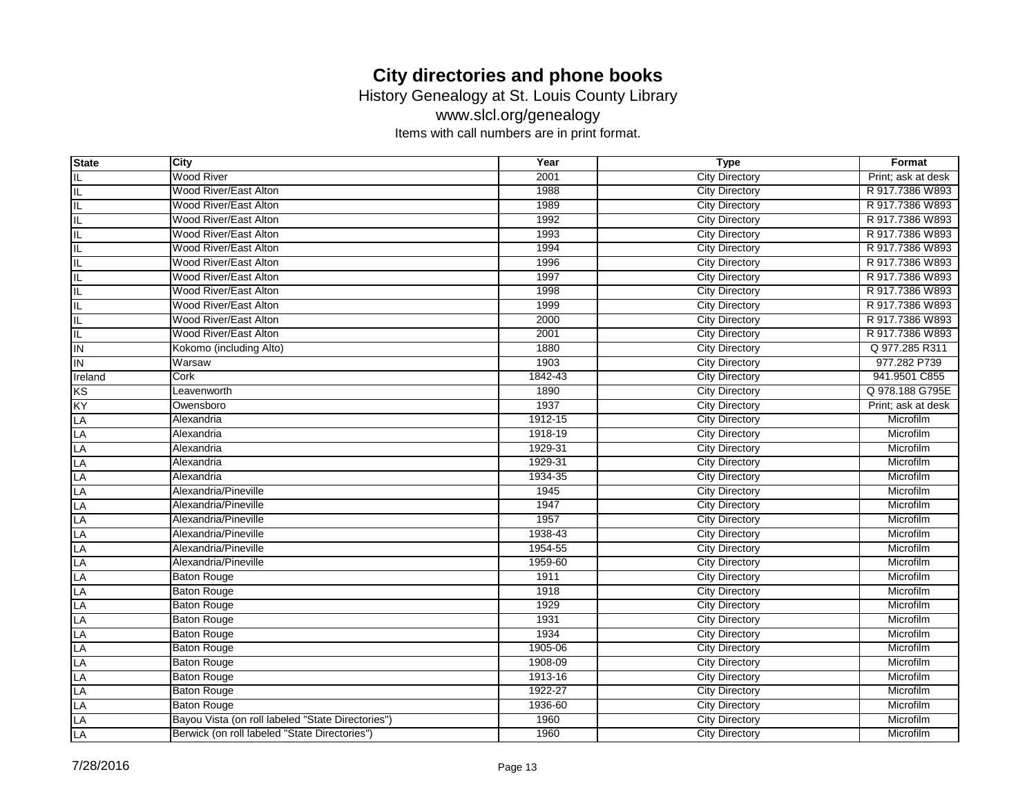History Genealogy at St. Louis County Library

www.slcl.org/genealogy

| <b>State</b>   | City                                              | Year    | <b>Type</b>           | Format             |
|----------------|---------------------------------------------------|---------|-----------------------|--------------------|
| IL             | <b>Wood River</b>                                 | 2001    | <b>City Directory</b> | Print; ask at desk |
| IL             | Wood River/East Alton                             | 1988    | <b>City Directory</b> | R 917.7386 W893    |
| IL             | Wood River/East Alton                             | 1989    | <b>City Directory</b> | R 917.7386 W893    |
| IL             | Wood River/East Alton                             | 1992    | <b>City Directory</b> | R 917.7386 W893    |
| IL             | Wood River/East Alton                             | 1993    | <b>City Directory</b> | R 917.7386 W893    |
| IL             | Wood River/East Alton                             | 1994    | <b>City Directory</b> | R 917.7386 W893    |
| IL             | Wood River/East Alton                             | 1996    | <b>City Directory</b> | R 917.7386 W893    |
| IL             | Wood River/East Alton                             | 1997    | <b>City Directory</b> | R 917.7386 W893    |
| IL             | Wood River/East Alton                             | 1998    | <b>City Directory</b> | R 917.7386 W893    |
| IL             | Wood River/East Alton                             | 1999    | <b>City Directory</b> | R 917.7386 W893    |
| IL             | Wood River/East Alton                             | 2000    | <b>City Directory</b> | R 917.7386 W893    |
| IL             | Wood River/East Alton                             | 2001    | <b>City Directory</b> | R 917.7386 W893    |
| IN             | Kokomo (including Alto)                           | 1880    | <b>City Directory</b> | Q 977.285 R311     |
| $\overline{I}$ | Warsaw                                            | 1903    | <b>City Directory</b> | 977.282 P739       |
| Ireland        | Cork                                              | 1842-43 | <b>City Directory</b> | 941.9501 C855      |
| KS             | Leavenworth                                       | 1890    | <b>City Directory</b> | Q 978.188 G795E    |
| KY             | Owensboro                                         | 1937    | <b>City Directory</b> | Print; ask at desk |
| LA             | Alexandria                                        | 1912-15 | <b>City Directory</b> | Microfilm          |
| LA             | Alexandria                                        | 1918-19 | <b>City Directory</b> | Microfilm          |
| LA             | Alexandria                                        | 1929-31 | <b>City Directory</b> | Microfilm          |
| LA             | Alexandria                                        | 1929-31 | <b>City Directory</b> | Microfilm          |
| LA             | Alexandria                                        | 1934-35 | <b>City Directory</b> | Microfilm          |
| LA             | Alexandria/Pineville                              | 1945    | <b>City Directory</b> | Microfilm          |
| LA             | Alexandria/Pineville                              | 1947    | <b>City Directory</b> | Microfilm          |
| LA             | Alexandria/Pineville                              | 1957    | <b>City Directory</b> | Microfilm          |
| LA             | Alexandria/Pineville                              | 1938-43 | <b>City Directory</b> | Microfilm          |
| LA             | Alexandria/Pineville                              | 1954-55 | <b>City Directory</b> | Microfilm          |
| LA             | Alexandria/Pineville                              | 1959-60 | <b>City Directory</b> | Microfilm          |
| LA             | <b>Baton Rouge</b>                                | 1911    | <b>City Directory</b> | Microfilm          |
| LA             | <b>Baton Rouge</b>                                | 1918    | <b>City Directory</b> | Microfilm          |
| LA             | <b>Baton Rouge</b>                                | 1929    | <b>City Directory</b> | Microfilm          |
| LA             | <b>Baton Rouge</b>                                | 1931    | <b>City Directory</b> | Microfilm          |
| LA             | <b>Baton Rouge</b>                                | 1934    | <b>City Directory</b> | Microfilm          |
| LA             | <b>Baton Rouge</b>                                | 1905-06 | <b>City Directory</b> | Microfilm          |
| LA             | <b>Baton Rouge</b>                                | 1908-09 | <b>City Directory</b> | Microfilm          |
| LA             | <b>Baton Rouge</b>                                | 1913-16 | <b>City Directory</b> | Microfilm          |
| LA             | <b>Baton Rouge</b>                                | 1922-27 | <b>City Directory</b> | Microfilm          |
| LA             | <b>Baton Rouge</b>                                | 1936-60 | <b>City Directory</b> | Microfilm          |
| LA             | Bayou Vista (on roll labeled "State Directories") | 1960    | <b>City Directory</b> | Microfilm          |
| LA             | Berwick (on roll labeled "State Directories")     | 1960    | <b>City Directory</b> | Microfilm          |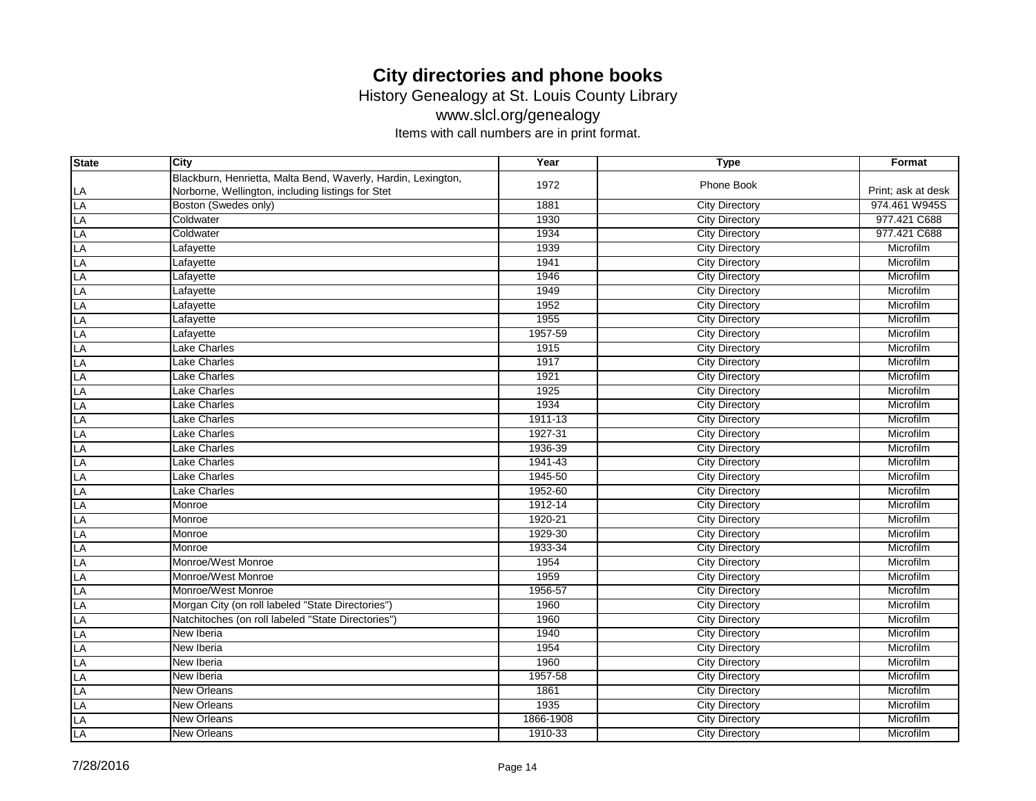History Genealogy at St. Louis County Library

www.slcl.org/genealogy

| <b>State</b> | City                                                          | Year      | <b>Type</b>           | Format             |
|--------------|---------------------------------------------------------------|-----------|-----------------------|--------------------|
|              | Blackburn, Henrietta, Malta Bend, Waverly, Hardin, Lexington, | 1972      | Phone Book            |                    |
| LA           | Norborne, Wellington, including listings for Stet             |           |                       | Print; ask at desk |
| LA           | Boston (Swedes only)                                          | 1881      | <b>City Directory</b> | 974.461 W945S      |
| LA           | Coldwater                                                     | 1930      | <b>City Directory</b> | 977.421 C688       |
| LA           | Coldwater                                                     | 1934      | <b>City Directory</b> | 977.421 C688       |
| LA           | Lafayette                                                     | 1939      | <b>City Directory</b> | Microfilm          |
| LA           | Lafayette                                                     | 1941      | <b>City Directory</b> | Microfilm          |
| LA           | Lafayette                                                     | 1946      | <b>City Directory</b> | Microfilm          |
| LA           | Lafayette                                                     | 1949      | <b>City Directory</b> | Microfilm          |
| LA           | Lafayette                                                     | 1952      | <b>City Directory</b> | Microfilm          |
| LA           | Lafayette                                                     | 1955      | <b>City Directory</b> | Microfilm          |
| LA           | Lafayette                                                     | 1957-59   | <b>City Directory</b> | Microfilm          |
| LA           | Lake Charles                                                  | 1915      | <b>City Directory</b> | Microfilm          |
| LA           | Lake Charles                                                  | 1917      | <b>City Directory</b> | Microfilm          |
| LA           | Lake Charles                                                  | 1921      | <b>City Directory</b> | Microfilm          |
| LA           | <b>Lake Charles</b>                                           | 1925      | <b>City Directory</b> | Microfilm          |
| LA           | Lake Charles                                                  | 1934      | <b>City Directory</b> | Microfilm          |
| LA           | <b>Lake Charles</b>                                           | 1911-13   | <b>City Directory</b> | Microfilm          |
| LA           | <b>Lake Charles</b>                                           | 1927-31   | <b>City Directory</b> | Microfilm          |
| LA           | Lake Charles                                                  | 1936-39   | <b>City Directory</b> | Microfilm          |
| LA           | Lake Charles                                                  | 1941-43   | <b>City Directory</b> | Microfilm          |
| LA           | Lake Charles                                                  | 1945-50   | <b>City Directory</b> | Microfilm          |
| LA           | Lake Charles                                                  | 1952-60   | <b>City Directory</b> | Microfilm          |
| LA           | Monroe                                                        | 1912-14   | <b>City Directory</b> | Microfilm          |
| LA           | Monroe                                                        | 1920-21   | <b>City Directory</b> | Microfilm          |
| LA           | Monroe                                                        | 1929-30   | <b>City Directory</b> | Microfilm          |
| LA           | Monroe                                                        | 1933-34   | <b>City Directory</b> | Microfilm          |
| LA           | Monroe/West Monroe                                            | 1954      | <b>City Directory</b> | Microfilm          |
| LA           | Monroe/West Monroe                                            | 1959      | <b>City Directory</b> | Microfilm          |
| LA           | Monroe/West Monroe                                            | 1956-57   | <b>City Directory</b> | Microfilm          |
| LA           | Morgan City (on roll labeled "State Directories")             | 1960      | <b>City Directory</b> | Microfilm          |
| LA           | Natchitoches (on roll labeled "State Directories")            | 1960      | <b>City Directory</b> | Microfilm          |
| LA           | New Iberia                                                    | 1940      | <b>City Directory</b> | Microfilm          |
| LA           | New Iberia                                                    | 1954      | <b>City Directory</b> | Microfilm          |
| LA           | New Iberia                                                    | 1960      | <b>City Directory</b> | Microfilm          |
| LA           | New Iberia                                                    | 1957-58   | <b>City Directory</b> | Microfilm          |
| LA           | New Orleans                                                   | 1861      | <b>City Directory</b> | Microfilm          |
| LA           | <b>New Orleans</b>                                            | 1935      | <b>City Directory</b> | Microfilm          |
| LA           | New Orleans                                                   | 1866-1908 | <b>City Directory</b> | Microfilm          |
| LA           | New Orleans                                                   | 1910-33   | <b>City Directory</b> | Microfilm          |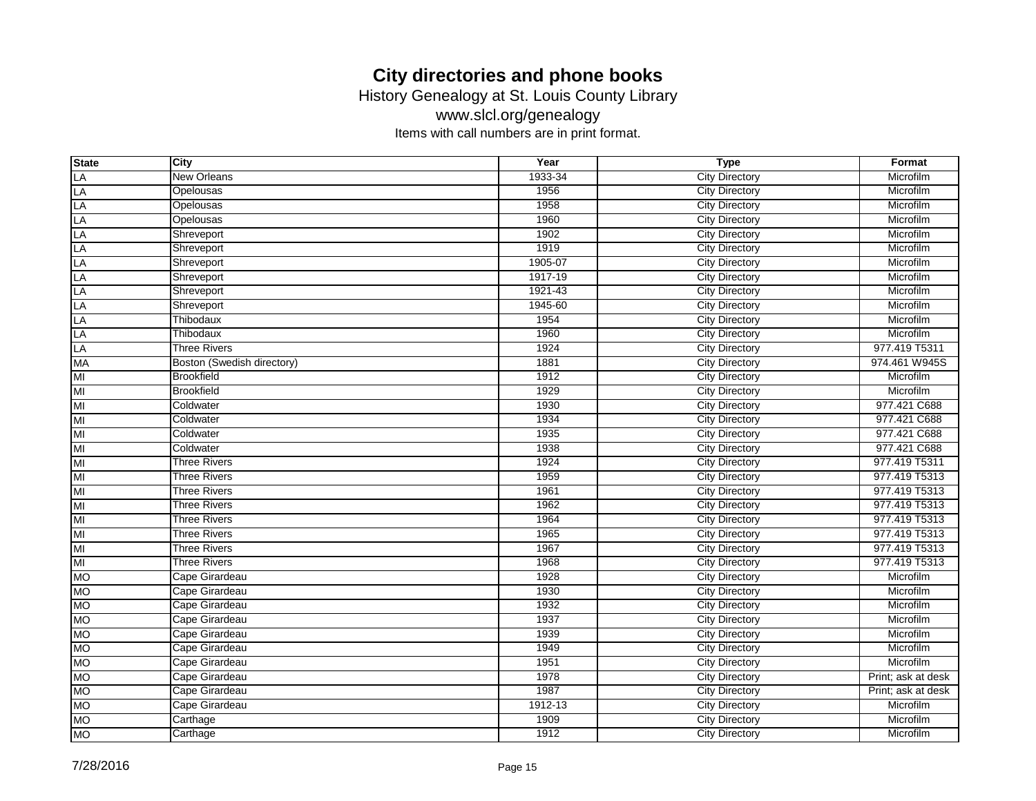History Genealogy at St. Louis County Library

www.slcl.org/genealogy

| <b>State</b>    | City                       | Year    | <b>Type</b>           | Format             |
|-----------------|----------------------------|---------|-----------------------|--------------------|
| LA              | <b>New Orleans</b>         | 1933-34 | <b>City Directory</b> | Microfilm          |
| LA              | Opelousas                  | 1956    | <b>City Directory</b> | Microfilm          |
| LA              | Opelousas                  | 1958    | <b>City Directory</b> | Microfilm          |
| <b>LA</b>       | Opelousas                  | 1960    | <b>City Directory</b> | Microfilm          |
| LA              | Shreveport                 | 1902    | <b>City Directory</b> | Microfilm          |
| LA              | Shreveport                 | 1919    | <b>City Directory</b> | Microfilm          |
| LA              | Shreveport                 | 1905-07 | <b>City Directory</b> | Microfilm          |
| LA              | Shreveport                 | 1917-19 | <b>City Directory</b> | Microfilm          |
| LA              | Shreveport                 | 1921-43 | <b>City Directory</b> | Microfilm          |
| LA              | Shreveport                 | 1945-60 | <b>City Directory</b> | Microfilm          |
| LA              | Thibodaux                  | 1954    | <b>City Directory</b> | Microfilm          |
| LA              | Thibodaux                  | 1960    | <b>City Directory</b> | Microfilm          |
| LA              | <b>Three Rivers</b>        | 1924    | <b>City Directory</b> | 977.419 T5311      |
| <b>MA</b>       | Boston (Swedish directory) | 1881    | <b>City Directory</b> | 974.461 W945S      |
| MI              | <b>Brookfield</b>          | 1912    | <b>City Directory</b> | Microfilm          |
| MI              | <b>Brookfield</b>          | 1929    | <b>City Directory</b> | Microfilm          |
| MI              | Coldwater                  | 1930    | <b>City Directory</b> | 977.421 C688       |
| MI              | Coldwater                  | 1934    | <b>City Directory</b> | 977.421 C688       |
| MI              | Coldwater                  | 1935    | <b>City Directory</b> | 977.421 C688       |
| MI              | Coldwater                  | 1938    | <b>City Directory</b> | 977.421 C688       |
| MI              | <b>Three Rivers</b>        | 1924    | <b>City Directory</b> | 977.419 T5311      |
| MI              | <b>Three Rivers</b>        | 1959    | <b>City Directory</b> | 977.419 T5313      |
| MI              | <b>Three Rivers</b>        | 1961    | <b>City Directory</b> | 977.419 T5313      |
| MI              | <b>Three Rivers</b>        | 1962    | <b>City Directory</b> | 977.419 T5313      |
| MI              | <b>Three Rivers</b>        | 1964    | <b>City Directory</b> | 977.419 T5313      |
| MI              | <b>Three Rivers</b>        | 1965    | <b>City Directory</b> | 977.419 T5313      |
| MI              | <b>Three Rivers</b>        | 1967    | <b>City Directory</b> | 977.419 T5313      |
| $\overline{MI}$ | <b>Three Rivers</b>        | 1968    | <b>City Directory</b> | 977.419 T5313      |
| <b>MO</b>       | Cape Girardeau             | 1928    | <b>City Directory</b> | Microfilm          |
| <b>MO</b>       | Cape Girardeau             | 1930    | <b>City Directory</b> | Microfilm          |
| <b>MO</b>       | Cape Girardeau             | 1932    | <b>City Directory</b> | Microfilm          |
| <b>MO</b>       | Cape Girardeau             | 1937    | <b>City Directory</b> | Microfilm          |
| <b>MO</b>       | Cape Girardeau             | 1939    | <b>City Directory</b> | Microfilm          |
| <b>MO</b>       | Cape Girardeau             | 1949    | <b>City Directory</b> | Microfilm          |
| <b>MO</b>       | Cape Girardeau             | 1951    | <b>City Directory</b> | Microfilm          |
| <b>MO</b>       | Cape Girardeau             | 1978    | <b>City Directory</b> | Print; ask at desk |
| <b>MO</b>       | Cape Girardeau             | 1987    | <b>City Directory</b> | Print; ask at desk |
| <b>MO</b>       | Cape Girardeau             | 1912-13 | <b>City Directory</b> | Microfilm          |
| <b>MO</b>       | Carthage                   | 1909    | <b>City Directory</b> | Microfilm          |
| <b>MO</b>       | Carthage                   | 1912    | <b>City Directory</b> | Microfilm          |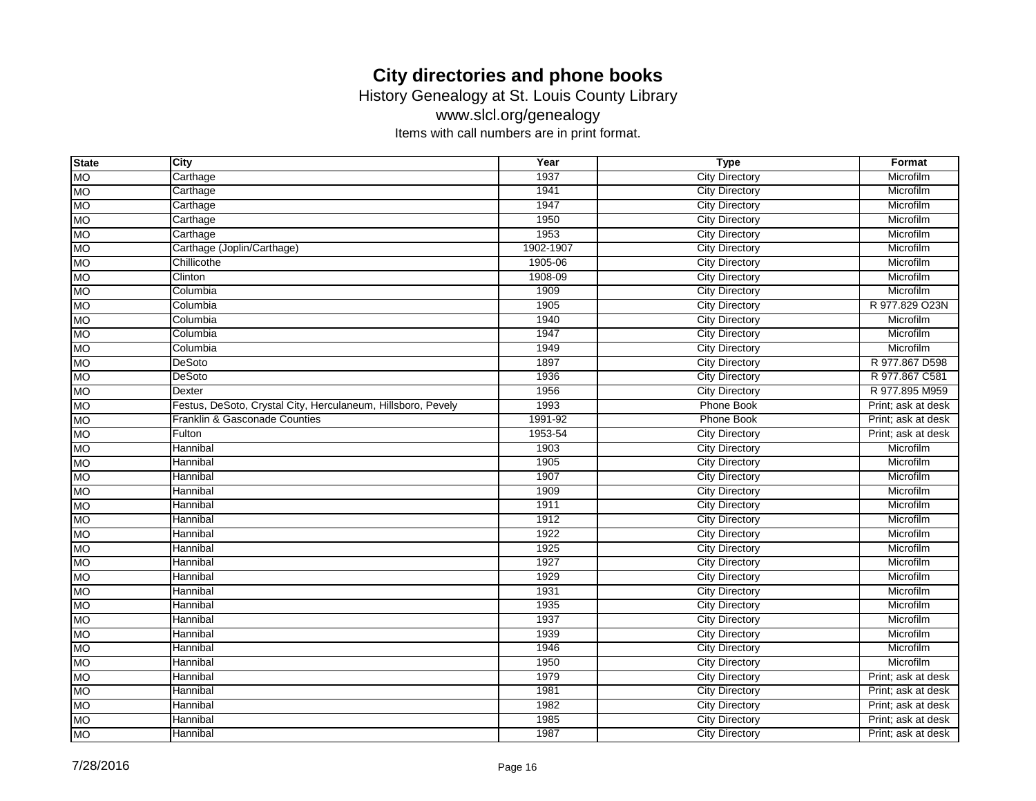History Genealogy at St. Louis County Library

www.slcl.org/genealogy

| <b>State</b> | City                                                         | Year      | <b>Type</b>           | Format             |
|--------------|--------------------------------------------------------------|-----------|-----------------------|--------------------|
| <b>MO</b>    | Carthage                                                     | 1937      | <b>City Directory</b> | Microfilm          |
| <b>MO</b>    | Carthage                                                     | 1941      | <b>City Directory</b> | Microfilm          |
| <b>MO</b>    | Carthage                                                     | 1947      | <b>City Directory</b> | Microfilm          |
| <b>MO</b>    | Carthage                                                     | 1950      | <b>City Directory</b> | Microfilm          |
| <b>MO</b>    | Carthage                                                     | 1953      | <b>City Directory</b> | Microfilm          |
| <b>MO</b>    | Carthage (Joplin/Carthage)                                   | 1902-1907 | <b>City Directory</b> | Microfilm          |
| <b>MO</b>    | Chillicothe                                                  | 1905-06   | <b>City Directory</b> | Microfilm          |
| <b>MO</b>    | Clinton                                                      | 1908-09   | <b>City Directory</b> | Microfilm          |
| <b>MO</b>    | Columbia                                                     | 1909      | <b>City Directory</b> | Microfilm          |
| <b>MO</b>    | Columbia                                                     | 1905      | <b>City Directory</b> | R 977.829 O23N     |
| <b>MO</b>    | Columbia                                                     | 1940      | <b>City Directory</b> | Microfilm          |
| <b>MO</b>    | Columbia                                                     | 1947      | <b>City Directory</b> | Microfilm          |
| <b>MO</b>    | Columbia                                                     | 1949      | <b>City Directory</b> | Microfilm          |
| <b>MO</b>    | <b>DeSoto</b>                                                | 1897      | <b>City Directory</b> | R 977.867 D598     |
| <b>MO</b>    | DeSoto                                                       | 1936      | <b>City Directory</b> | R 977.867 C581     |
| <b>MO</b>    | Dexter                                                       | 1956      | <b>City Directory</b> | R 977.895 M959     |
| <b>MO</b>    | Festus, DeSoto, Crystal City, Herculaneum, Hillsboro, Pevely | 1993      | <b>Phone Book</b>     | Print; ask at desk |
| <b>MO</b>    | Franklin & Gasconade Counties                                | 1991-92   | Phone Book            | Print; ask at desk |
| <b>MO</b>    | Fulton                                                       | 1953-54   | <b>City Directory</b> | Print; ask at desk |
| <b>MO</b>    | Hannibal                                                     | 1903      | <b>City Directory</b> | Microfilm          |
| <b>MO</b>    | Hannibal                                                     | 1905      | <b>City Directory</b> | Microfilm          |
| <b>MO</b>    | Hannibal                                                     | 1907      | <b>City Directory</b> | Microfilm          |
| <b>MO</b>    | Hannibal                                                     | 1909      | <b>City Directory</b> | Microfilm          |
| <b>MO</b>    | Hannibal                                                     | 1911      | <b>City Directory</b> | Microfilm          |
| <b>MO</b>    | Hannibal                                                     | 1912      | <b>City Directory</b> | Microfilm          |
| <b>MO</b>    | Hannibal                                                     | 1922      | <b>City Directory</b> | Microfilm          |
| <b>MO</b>    | Hannibal                                                     | 1925      | <b>City Directory</b> | Microfilm          |
| <b>MO</b>    | Hannibal                                                     | 1927      | <b>City Directory</b> | Microfilm          |
| <b>MO</b>    | Hannibal                                                     | 1929      | <b>City Directory</b> | Microfilm          |
| <b>MO</b>    | Hannibal                                                     | 1931      | <b>City Directory</b> | Microfilm          |
| <b>MO</b>    | Hannibal                                                     | 1935      | <b>City Directory</b> | Microfilm          |
| <b>MO</b>    | Hannibal                                                     | 1937      | <b>City Directory</b> | Microfilm          |
| <b>MO</b>    | Hannibal                                                     | 1939      | <b>City Directory</b> | Microfilm          |
| <b>MO</b>    | Hannibal                                                     | 1946      | <b>City Directory</b> | Microfilm          |
| <b>MO</b>    | Hannibal                                                     | 1950      | <b>City Directory</b> | Microfilm          |
| <b>MO</b>    | Hannibal                                                     | 1979      | <b>City Directory</b> | Print; ask at desk |
| <b>MO</b>    | Hannibal                                                     | 1981      | <b>City Directory</b> | Print; ask at desk |
| <b>MO</b>    | Hannibal                                                     | 1982      | <b>City Directory</b> | Print; ask at desk |
| <b>MO</b>    | Hannibal                                                     | 1985      | <b>City Directory</b> | Print; ask at desk |
| <b>MO</b>    | Hannibal                                                     | 1987      | <b>City Directory</b> | Print; ask at desk |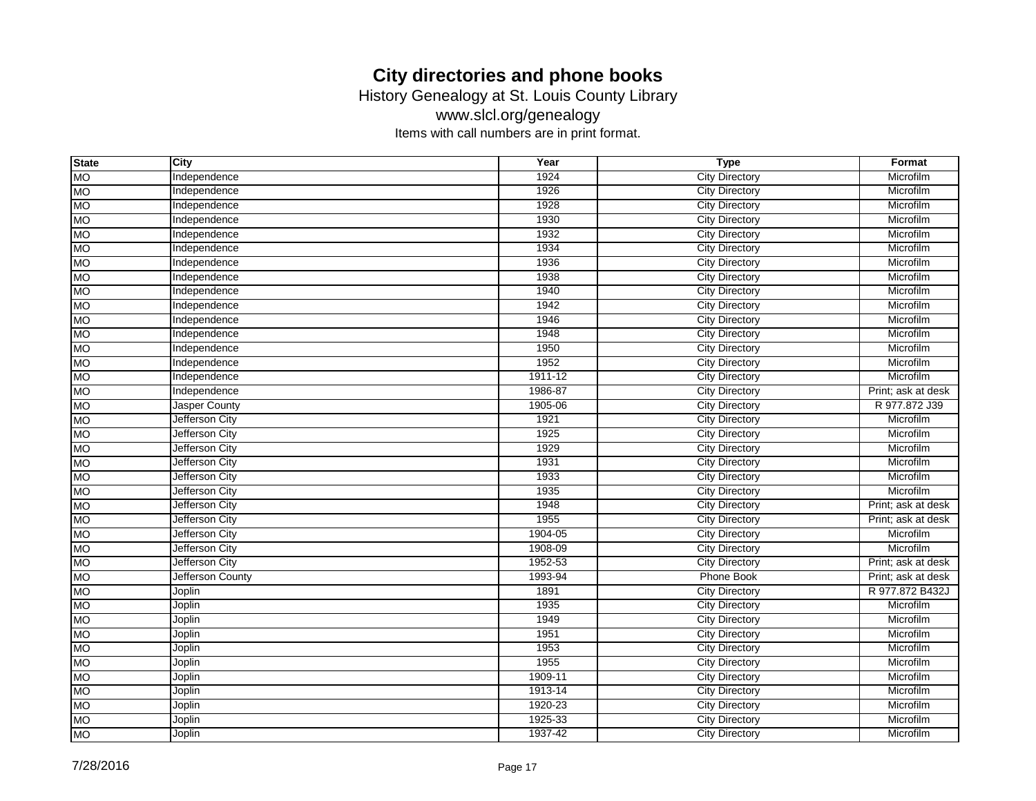History Genealogy at St. Louis County Library

www.slcl.org/genealogy

| <b>State</b> | City                  | Year    | <b>Type</b>           | Format             |
|--------------|-----------------------|---------|-----------------------|--------------------|
| <b>MO</b>    | Independence          | 1924    | <b>City Directory</b> | Microfilm          |
| <b>MO</b>    | Independence          | 1926    | <b>City Directory</b> | Microfilm          |
| <b>MO</b>    | Independence          | 1928    | <b>City Directory</b> | Microfilm          |
| <b>MO</b>    | Independence          | 1930    | <b>City Directory</b> | Microfilm          |
| <b>MO</b>    | Independence          | 1932    | <b>City Directory</b> | Microfilm          |
| <b>MO</b>    | Independence          | 1934    | <b>City Directory</b> | Microfilm          |
| <b>MO</b>    | Independence          | 1936    | <b>City Directory</b> | Microfilm          |
| <b>MO</b>    | Independence          | 1938    | <b>City Directory</b> | Microfilm          |
| <b>MO</b>    | Independence          | 1940    | <b>City Directory</b> | Microfilm          |
| <b>MO</b>    | Independence          | 1942    | <b>City Directory</b> | Microfilm          |
| <b>MO</b>    | Independence          | 1946    | <b>City Directory</b> | Microfilm          |
| <b>MO</b>    | Independence          | 1948    | <b>City Directory</b> | Microfilm          |
| <b>MO</b>    | Independence          | 1950    | <b>City Directory</b> | Microfilm          |
| <b>MO</b>    | Independence          | 1952    | <b>City Directory</b> | Microfilm          |
| <b>MO</b>    | Independence          | 1911-12 | <b>City Directory</b> | Microfilm          |
| <b>MO</b>    | Independence          | 1986-87 | <b>City Directory</b> | Print; ask at desk |
| <b>MO</b>    | <b>Jasper County</b>  | 1905-06 | <b>City Directory</b> | R 977.872 J39      |
| <b>MO</b>    | Jefferson City        | 1921    | <b>City Directory</b> | Microfilm          |
| <b>MO</b>    | Jefferson City        | 1925    | <b>City Directory</b> | Microfilm          |
| <b>MO</b>    | Jefferson City        | 1929    | <b>City Directory</b> | Microfilm          |
| <b>MO</b>    | Jefferson City        | 1931    | <b>City Directory</b> | Microfilm          |
| <b>MO</b>    | <b>Jefferson City</b> | 1933    | <b>City Directory</b> | Microfilm          |
| <b>MO</b>    | Jefferson City        | 1935    | <b>City Directory</b> | Microfilm          |
| <b>MO</b>    | Jefferson City        | 1948    | <b>City Directory</b> | Print; ask at desk |
| <b>MO</b>    | Jefferson City        | 1955    | <b>City Directory</b> | Print; ask at desk |
| <b>MO</b>    | Jefferson City        | 1904-05 | <b>City Directory</b> | Microfilm          |
| <b>MO</b>    | Jefferson City        | 1908-09 | <b>City Directory</b> | Microfilm          |
| <b>MO</b>    | Jefferson City        | 1952-53 | <b>City Directory</b> | Print; ask at desk |
| <b>MO</b>    | Jefferson County      | 1993-94 | <b>Phone Book</b>     | Print; ask at desk |
| <b>MO</b>    | Joplin                | 1891    | <b>City Directory</b> | R 977.872 B432J    |
| <b>MO</b>    | Joplin                | 1935    | <b>City Directory</b> | Microfilm          |
| <b>MO</b>    | Joplin                | 1949    | <b>City Directory</b> | Microfilm          |
| <b>MO</b>    | Joplin                | 1951    | <b>City Directory</b> | Microfilm          |
| <b>MO</b>    | Joplin                | 1953    | <b>City Directory</b> | Microfilm          |
| <b>MO</b>    | Joplin                | 1955    | <b>City Directory</b> | Microfilm          |
| <b>MO</b>    | Joplin                | 1909-11 | <b>City Directory</b> | Microfilm          |
| <b>MO</b>    | Joplin                | 1913-14 | <b>City Directory</b> | Microfilm          |
| <b>MO</b>    | Joplin                | 1920-23 | <b>City Directory</b> | Microfilm          |
| <b>MO</b>    | Joplin                | 1925-33 | <b>City Directory</b> | Microfilm          |
| <b>MO</b>    | Joplin                | 1937-42 | <b>City Directory</b> | Microfilm          |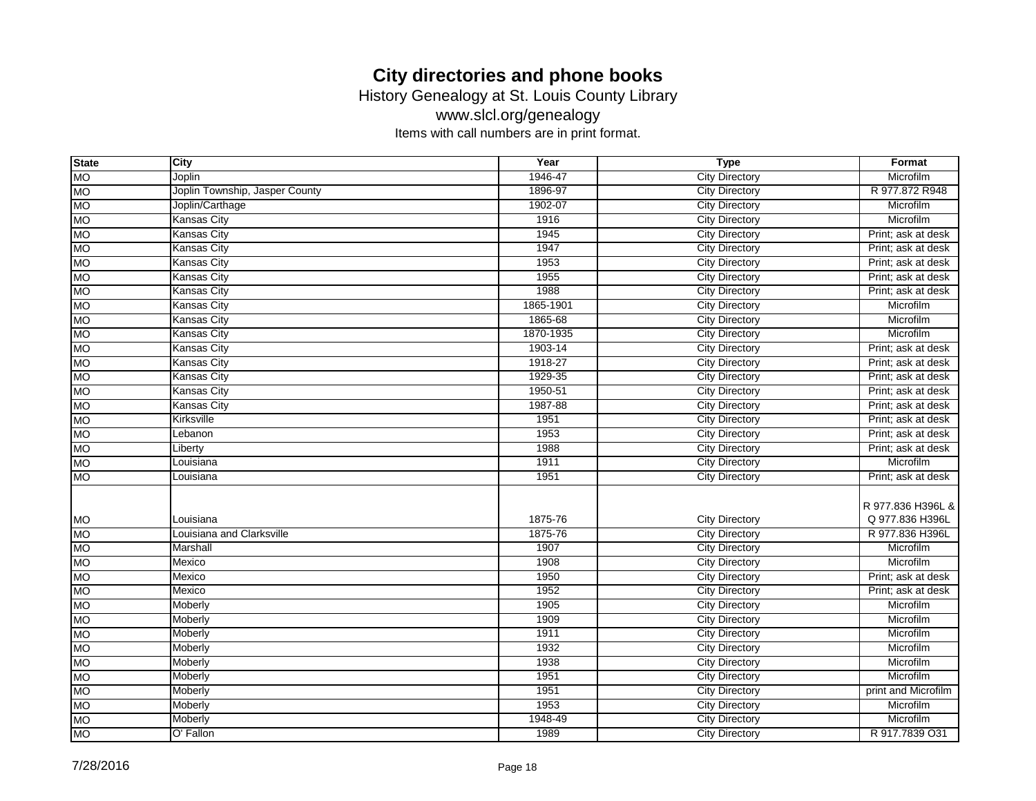History Genealogy at St. Louis County Library

www.slcl.org/genealogy

| <b>State</b> | City                           | Year      | <b>Type</b>           | Format              |
|--------------|--------------------------------|-----------|-----------------------|---------------------|
| <b>MO</b>    | Joplin                         | 1946-47   | <b>City Directory</b> | Microfilm           |
| <b>MO</b>    | Joplin Township, Jasper County | 1896-97   | <b>City Directory</b> | R 977.872 R948      |
| <b>MO</b>    | Joplin/Carthage                | 1902-07   | <b>City Directory</b> | Microfilm           |
| <b>MO</b>    | <b>Kansas City</b>             | 1916      | <b>City Directory</b> | Microfilm           |
| <b>MO</b>    | <b>Kansas City</b>             | 1945      | <b>City Directory</b> | Print; ask at desk  |
| <b>MO</b>    | <b>Kansas City</b>             | 1947      | <b>City Directory</b> | Print; ask at desk  |
| <b>MO</b>    | <b>Kansas City</b>             | 1953      | <b>City Directory</b> | Print; ask at desk  |
| <b>MO</b>    | Kansas City                    | 1955      | <b>City Directory</b> | Print; ask at desk  |
| <b>MO</b>    | <b>Kansas City</b>             | 1988      | <b>City Directory</b> | Print; ask at desk  |
| <b>MO</b>    | <b>Kansas City</b>             | 1865-1901 | <b>City Directory</b> | Microfilm           |
| <b>MO</b>    | <b>Kansas City</b>             | 1865-68   | <b>City Directory</b> | Microfilm           |
| <b>MO</b>    | <b>Kansas City</b>             | 1870-1935 | <b>City Directory</b> | Microfilm           |
| <b>MO</b>    | <b>Kansas City</b>             | 1903-14   | <b>City Directory</b> | Print; ask at desk  |
| <b>MO</b>    | <b>Kansas City</b>             | 1918-27   | <b>City Directory</b> | Print; ask at desk  |
| <b>MO</b>    | <b>Kansas City</b>             | 1929-35   | <b>City Directory</b> | Print; ask at desk  |
| <b>MO</b>    | <b>Kansas City</b>             | 1950-51   | <b>City Directory</b> | Print; ask at desk  |
| <b>MO</b>    | <b>Kansas City</b>             | 1987-88   | <b>City Directory</b> | Print; ask at desk  |
| <b>MO</b>    | Kirksville                     | 1951      | <b>City Directory</b> | Print; ask at desk  |
| <b>MO</b>    | Lebanon                        | 1953      | <b>City Directory</b> | Print; ask at desk  |
| <b>MO</b>    | Liberty                        | 1988      | <b>City Directory</b> | Print; ask at desk  |
| <b>MO</b>    | Louisiana                      | 1911      | <b>City Directory</b> | Microfilm           |
| <b>MO</b>    | Louisiana                      | 1951      | <b>City Directory</b> | Print; ask at desk  |
|              |                                |           |                       |                     |
|              |                                |           |                       | R 977.836 H396L &   |
| <b>MO</b>    | Louisiana                      | 1875-76   | <b>City Directory</b> | Q 977.836 H396L     |
| <b>MO</b>    | Louisiana and Clarksville      | 1875-76   | <b>City Directory</b> | R 977.836 H396L     |
| <b>MO</b>    | Marshall                       | 1907      | <b>City Directory</b> | Microfilm           |
| <b>MO</b>    | Mexico                         | 1908      | <b>City Directory</b> | Microfilm           |
| <b>MO</b>    | Mexico                         | 1950      | <b>City Directory</b> | Print; ask at desk  |
| <b>MO</b>    | Mexico                         | 1952      | <b>City Directory</b> | Print; ask at desk  |
| <b>MO</b>    | Moberly                        | 1905      | <b>City Directory</b> | Microfilm           |
| <b>MO</b>    | Moberly                        | 1909      | <b>City Directory</b> | Microfilm           |
| <b>MO</b>    | Moberly                        | 1911      | <b>City Directory</b> | Microfilm           |
| <b>MO</b>    | Moberly                        | 1932      | <b>City Directory</b> | Microfilm           |
| <b>MO</b>    | Moberly                        | 1938      | <b>City Directory</b> | Microfilm           |
| <b>MO</b>    | Moberly                        | 1951      | <b>City Directory</b> | Microfilm           |
| <b>MO</b>    | Moberly                        | 1951      | <b>City Directory</b> | print and Microfilm |
| <b>MO</b>    | Moberly                        | 1953      | <b>City Directory</b> | Microfilm           |
| <b>MO</b>    | Moberly                        | 1948-49   | <b>City Directory</b> | Microfilm           |
| <b>MO</b>    | O' Fallon                      | 1989      | <b>City Directory</b> | R 917.7839 O31      |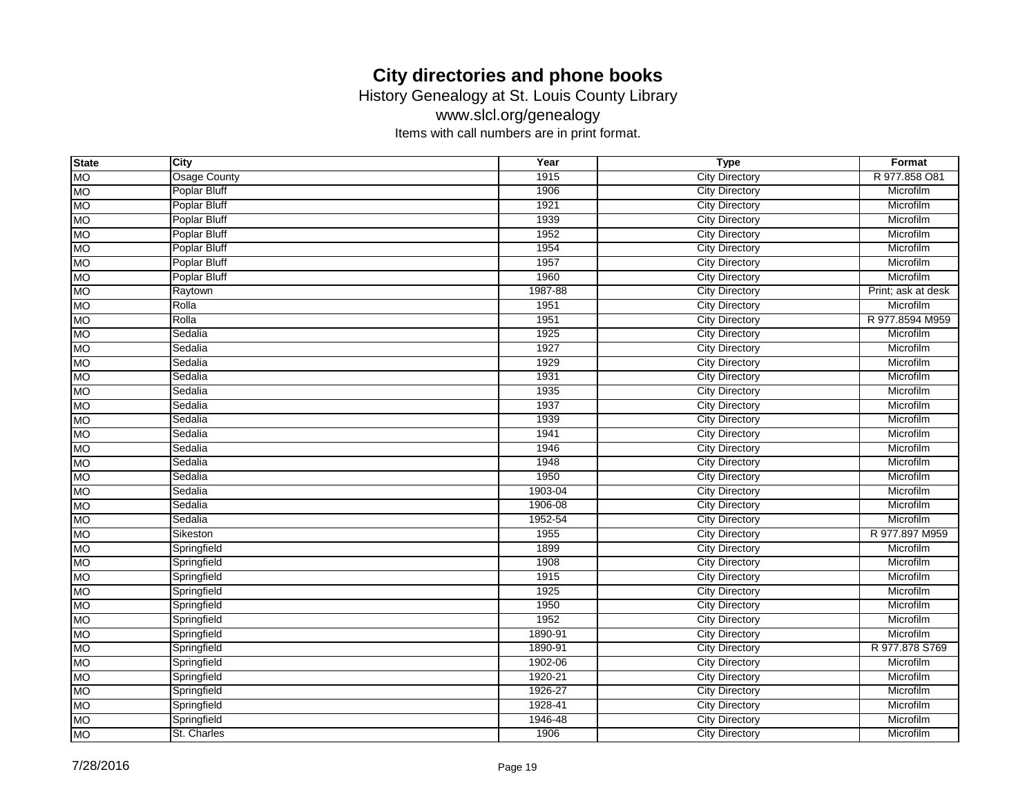History Genealogy at St. Louis County Library

www.slcl.org/genealogy

| <b>State</b> | City                | Year    | <b>Type</b>           | Format             |
|--------------|---------------------|---------|-----------------------|--------------------|
| <b>MO</b>    | <b>Osage County</b> | 1915    | <b>City Directory</b> | R 977.858 O81      |
| <b>MO</b>    | <b>Poplar Bluff</b> | 1906    | <b>City Directory</b> | Microfilm          |
| <b>MO</b>    | <b>Poplar Bluff</b> | 1921    | <b>City Directory</b> | Microfilm          |
| <b>MO</b>    | <b>Poplar Bluff</b> | 1939    | <b>City Directory</b> | Microfilm          |
| <b>MO</b>    | <b>Poplar Bluff</b> | 1952    | <b>City Directory</b> | Microfilm          |
| <b>MO</b>    | Poplar Bluff        | 1954    | <b>City Directory</b> | Microfilm          |
| <b>MO</b>    | Poplar Bluff        | 1957    | <b>City Directory</b> | Microfilm          |
| <b>MO</b>    | Poplar Bluff        | 1960    | <b>City Directory</b> | Microfilm          |
| <b>MO</b>    | Raytown             | 1987-88 | <b>City Directory</b> | Print; ask at desk |
| <b>MO</b>    | Rolla               | 1951    | <b>City Directory</b> | Microfilm          |
| <b>MO</b>    | Rolla               | 1951    | <b>City Directory</b> | R 977.8594 M959    |
| <b>MO</b>    | Sedalia             | 1925    | <b>City Directory</b> | Microfilm          |
| <b>MO</b>    | Sedalia             | 1927    | <b>City Directory</b> | Microfilm          |
| <b>MO</b>    | Sedalia             | 1929    | <b>City Directory</b> | Microfilm          |
| <b>MO</b>    | Sedalia             | 1931    | <b>City Directory</b> | Microfilm          |
| <b>MO</b>    | Sedalia             | 1935    | <b>City Directory</b> | Microfilm          |
| <b>MO</b>    | Sedalia             | 1937    | <b>City Directory</b> | Microfilm          |
| <b>MO</b>    | Sedalia             | 1939    | <b>City Directory</b> | Microfilm          |
| <b>MO</b>    | Sedalia             | 1941    | <b>City Directory</b> | Microfilm          |
| <b>MO</b>    | Sedalia             | 1946    | <b>City Directory</b> | Microfilm          |
| <b>MO</b>    | Sedalia             | 1948    | <b>City Directory</b> | Microfilm          |
| <b>MO</b>    | Sedalia             | 1950    | <b>City Directory</b> | Microfilm          |
| <b>MO</b>    | Sedalia             | 1903-04 | <b>City Directory</b> | Microfilm          |
| <b>MO</b>    | Sedalia             | 1906-08 | <b>City Directory</b> | Microfilm          |
| <b>MO</b>    | Sedalia             | 1952-54 | <b>City Directory</b> | Microfilm          |
| <b>MO</b>    | Sikeston            | 1955    | <b>City Directory</b> | R 977.897 M959     |
| <b>MO</b>    | Springfield         | 1899    | <b>City Directory</b> | Microfilm          |
| <b>MO</b>    | Springfield         | 1908    | <b>City Directory</b> | Microfilm          |
| <b>MO</b>    | Springfield         | 1915    | <b>City Directory</b> | Microfilm          |
| <b>MO</b>    | Springfield         | 1925    | <b>City Directory</b> | Microfilm          |
| <b>MO</b>    | Springfield         | 1950    | <b>City Directory</b> | Microfilm          |
| <b>MO</b>    | Springfield         | 1952    | <b>City Directory</b> | Microfilm          |
| <b>MO</b>    | Springfield         | 1890-91 | <b>City Directory</b> | Microfilm          |
| <b>MO</b>    | Springfield         | 1890-91 | <b>City Directory</b> | R 977.878 S769     |
| <b>MO</b>    | Springfield         | 1902-06 | <b>City Directory</b> | Microfilm          |
| <b>MO</b>    | Springfield         | 1920-21 | <b>City Directory</b> | Microfilm          |
| <b>MO</b>    | Springfield         | 1926-27 | <b>City Directory</b> | Microfilm          |
| <b>MO</b>    | Springfield         | 1928-41 | <b>City Directory</b> | Microfilm          |
| <b>MO</b>    | Springfield         | 1946-48 | <b>City Directory</b> | Microfilm          |
| <b>MO</b>    | St. Charles         | 1906    | <b>City Directory</b> | Microfilm          |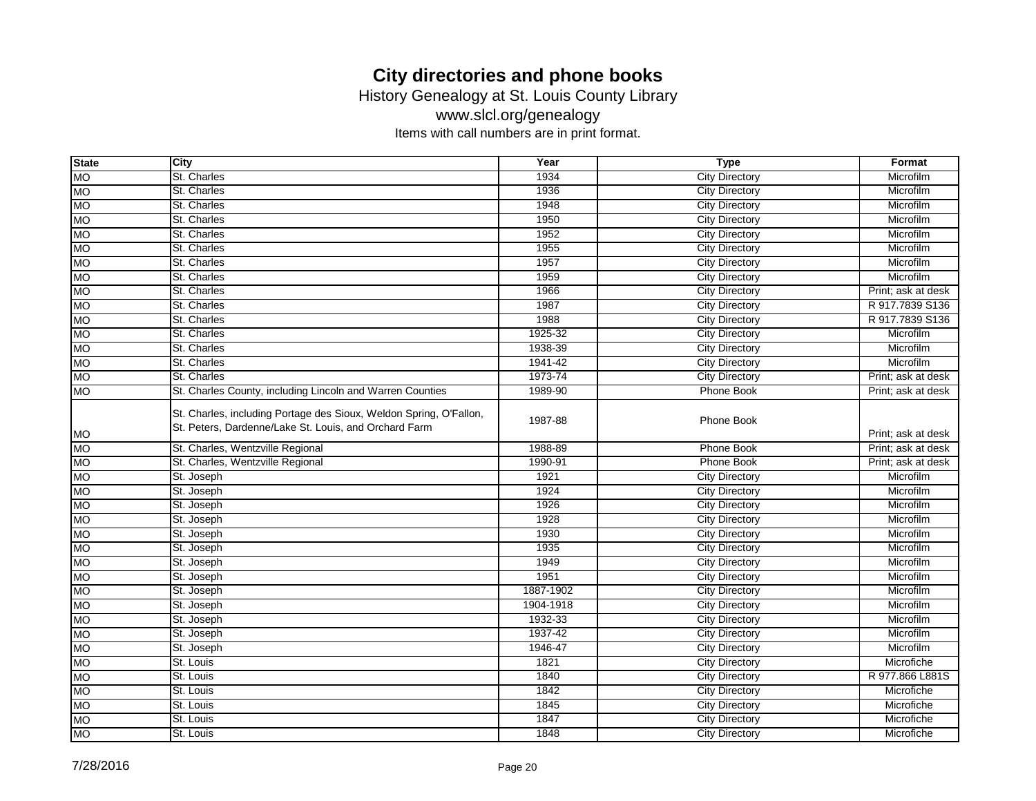History Genealogy at St. Louis County Library

www.slcl.org/genealogy

| <b>State</b> | <b>City</b>                                                                                                                 | Year      | <b>Type</b>           | Format             |
|--------------|-----------------------------------------------------------------------------------------------------------------------------|-----------|-----------------------|--------------------|
| <b>MO</b>    | St. Charles                                                                                                                 | 1934      | <b>City Directory</b> | Microfilm          |
| <b>MO</b>    | St. Charles                                                                                                                 | 1936      | <b>City Directory</b> | Microfilm          |
| <b>MO</b>    | St. Charles                                                                                                                 | 1948      | <b>City Directory</b> | Microfilm          |
| <b>MO</b>    | St. Charles                                                                                                                 | 1950      | <b>City Directory</b> | Microfilm          |
| <b>MO</b>    | St. Charles                                                                                                                 | 1952      | <b>City Directory</b> | Microfilm          |
| <b>MO</b>    | St. Charles                                                                                                                 | 1955      | <b>City Directory</b> | Microfilm          |
| <b>MO</b>    | St. Charles                                                                                                                 | 1957      | <b>City Directory</b> | Microfilm          |
| МO           | St. Charles                                                                                                                 | 1959      | <b>City Directory</b> | Microfilm          |
| <b>MO</b>    | St. Charles                                                                                                                 | 1966      | <b>City Directory</b> | Print; ask at desk |
| <b>MO</b>    | St. Charles                                                                                                                 | 1987      | <b>City Directory</b> | R 917.7839 S136    |
| <b>MO</b>    | St. Charles                                                                                                                 | 1988      | <b>City Directory</b> | R 917,7839 S136    |
| <b>MO</b>    | St. Charles                                                                                                                 | 1925-32   | <b>City Directory</b> | Microfilm          |
| <b>MO</b>    | St. Charles                                                                                                                 | 1938-39   | <b>City Directory</b> | Microfilm          |
| <b>MO</b>    | St. Charles                                                                                                                 | 1941-42   | <b>City Directory</b> | Microfilm          |
| <b>MO</b>    | St. Charles                                                                                                                 | 1973-74   | <b>City Directory</b> | Print; ask at desk |
| <b>MO</b>    | St. Charles County, including Lincoln and Warren Counties                                                                   | 1989-90   | Phone Book            | Print; ask at desk |
| <b>MO</b>    | St. Charles, including Portage des Sioux, Weldon Spring, O'Fallon,<br>St. Peters, Dardenne/Lake St. Louis, and Orchard Farm | 1987-88   | Phone Book            | Print; ask at desk |
| <b>MO</b>    | St. Charles, Wentzville Regional                                                                                            | 1988-89   | Phone Book            | Print; ask at desk |
| <b>MO</b>    | St. Charles, Wentzville Regional                                                                                            | 1990-91   | Phone Book            | Print; ask at desk |
| <b>MO</b>    | St. Joseph                                                                                                                  | 1921      | <b>City Directory</b> | Microfilm          |
| <b>MO</b>    | St. Joseph                                                                                                                  | 1924      | <b>City Directory</b> | Microfilm          |
| <b>MO</b>    | St. Joseph                                                                                                                  | 1926      | <b>City Directory</b> | Microfilm          |
| <b>MO</b>    | St. Joseph                                                                                                                  | 1928      | <b>City Directory</b> | Microfilm          |
| <b>MO</b>    | St. Joseph                                                                                                                  | 1930      | <b>City Directory</b> | Microfilm          |
| МO           | St. Joseph                                                                                                                  | 1935      | <b>City Directory</b> | Microfilm          |
| МO           | St. Joseph                                                                                                                  | 1949      | <b>City Directory</b> | Microfilm          |
| <b>MO</b>    | St. Joseph                                                                                                                  | 1951      | <b>City Directory</b> | Microfilm          |
| <b>MO</b>    | St. Joseph                                                                                                                  | 1887-1902 | <b>City Directory</b> | Microfilm          |
| <b>MO</b>    | St. Joseph                                                                                                                  | 1904-1918 | <b>City Directory</b> | Microfilm          |
| <b>MO</b>    | St. Joseph                                                                                                                  | 1932-33   | <b>City Directory</b> | Microfilm          |
| <b>MO</b>    | St. Joseph                                                                                                                  | 1937-42   | <b>City Directory</b> | Microfilm          |
| <b>MO</b>    | St. Joseph                                                                                                                  | 1946-47   | <b>City Directory</b> | Microfilm          |
| <b>MO</b>    | St. Louis                                                                                                                   | 1821      | <b>City Directory</b> | Microfiche         |
| MO           | St. Louis                                                                                                                   | 1840      | <b>City Directory</b> | R 977.866 L881S    |
| <b>MO</b>    | St. Louis                                                                                                                   | 1842      | <b>City Directory</b> | Microfiche         |
| <b>MO</b>    | St. Louis                                                                                                                   | 1845      | <b>City Directory</b> | Microfiche         |
| <b>NO</b>    | St. Louis                                                                                                                   | 1847      | <b>City Directory</b> | Microfiche         |
| <b>MO</b>    | St. Louis                                                                                                                   | 1848      | <b>City Directory</b> | Microfiche         |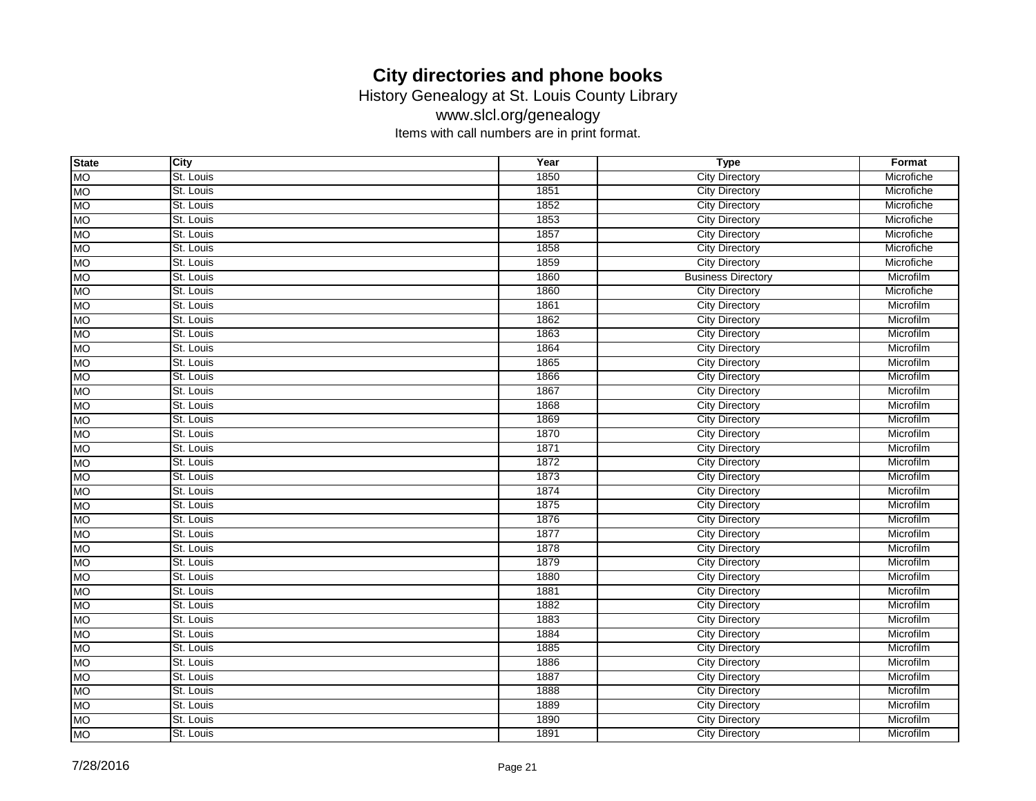History Genealogy at St. Louis County Library

www.slcl.org/genealogy

| <b>State</b> | City      | Year | <b>Type</b>               | Format     |
|--------------|-----------|------|---------------------------|------------|
| <b>MO</b>    | St. Louis | 1850 | <b>City Directory</b>     | Microfiche |
| <b>MO</b>    | St. Louis | 1851 | <b>City Directory</b>     | Microfiche |
| <b>MO</b>    | St. Louis | 1852 | <b>City Directory</b>     | Microfiche |
| <b>MO</b>    | St. Louis | 1853 | <b>City Directory</b>     | Microfiche |
| <b>MO</b>    | St. Louis | 1857 | <b>City Directory</b>     | Microfiche |
| <b>MO</b>    | St. Louis | 1858 | <b>City Directory</b>     | Microfiche |
| <b>MO</b>    | St. Louis | 1859 | <b>City Directory</b>     | Microfiche |
| <b>MO</b>    | St. Louis | 1860 | <b>Business Directory</b> | Microfilm  |
| <b>MO</b>    | St. Louis | 1860 | <b>City Directory</b>     | Microfiche |
| <b>MO</b>    | St. Louis | 1861 | <b>City Directory</b>     | Microfilm  |
| <b>MO</b>    | St. Louis | 1862 | <b>City Directory</b>     | Microfilm  |
| <b>MO</b>    | St. Louis | 1863 | <b>City Directory</b>     | Microfilm  |
| <b>MO</b>    | St. Louis | 1864 | <b>City Directory</b>     | Microfilm  |
| <b>MO</b>    | St. Louis | 1865 | <b>City Directory</b>     | Microfilm  |
| <b>MO</b>    | St. Louis | 1866 | <b>City Directory</b>     | Microfilm  |
| <b>MO</b>    | St. Louis | 1867 | <b>City Directory</b>     | Microfilm  |
| <b>MO</b>    | St. Louis | 1868 | <b>City Directory</b>     | Microfilm  |
| <b>MO</b>    | St. Louis | 1869 | <b>City Directory</b>     | Microfilm  |
| <b>MO</b>    | St. Louis | 1870 | <b>City Directory</b>     | Microfilm  |
| <b>MO</b>    | St. Louis | 1871 | <b>City Directory</b>     | Microfilm  |
| <b>MO</b>    | St. Louis | 1872 | <b>City Directory</b>     | Microfilm  |
| <b>MO</b>    | St. Louis | 1873 | <b>City Directory</b>     | Microfilm  |
| <b>MO</b>    | St. Louis | 1874 | <b>City Directory</b>     | Microfilm  |
| <b>MO</b>    | St. Louis | 1875 | <b>City Directory</b>     | Microfilm  |
| <b>MO</b>    | St. Louis | 1876 | <b>City Directory</b>     | Microfilm  |
| <b>MO</b>    | St. Louis | 1877 | <b>City Directory</b>     | Microfilm  |
| <b>MO</b>    | St. Louis | 1878 | <b>City Directory</b>     | Microfilm  |
| <b>MO</b>    | St. Louis | 1879 | <b>City Directory</b>     | Microfilm  |
| <b>MO</b>    | St. Louis | 1880 | <b>City Directory</b>     | Microfilm  |
| <b>MO</b>    | St. Louis | 1881 | <b>City Directory</b>     | Microfilm  |
| <b>MO</b>    | St. Louis | 1882 | <b>City Directory</b>     | Microfilm  |
| <b>MO</b>    | St. Louis | 1883 | <b>City Directory</b>     | Microfilm  |
| <b>MO</b>    | St. Louis | 1884 | <b>City Directory</b>     | Microfilm  |
| <b>MO</b>    | St. Louis | 1885 | <b>City Directory</b>     | Microfilm  |
| <b>MO</b>    | St. Louis | 1886 | <b>City Directory</b>     | Microfilm  |
| <b>MO</b>    | St. Louis | 1887 | <b>City Directory</b>     | Microfilm  |
| <b>MO</b>    | St. Louis | 1888 | <b>City Directory</b>     | Microfilm  |
| <b>MO</b>    | St. Louis | 1889 | <b>City Directory</b>     | Microfilm  |
| <b>MO</b>    | St. Louis | 1890 | <b>City Directory</b>     | Microfilm  |
| <b>MO</b>    | St. Louis | 1891 | <b>City Directory</b>     | Microfilm  |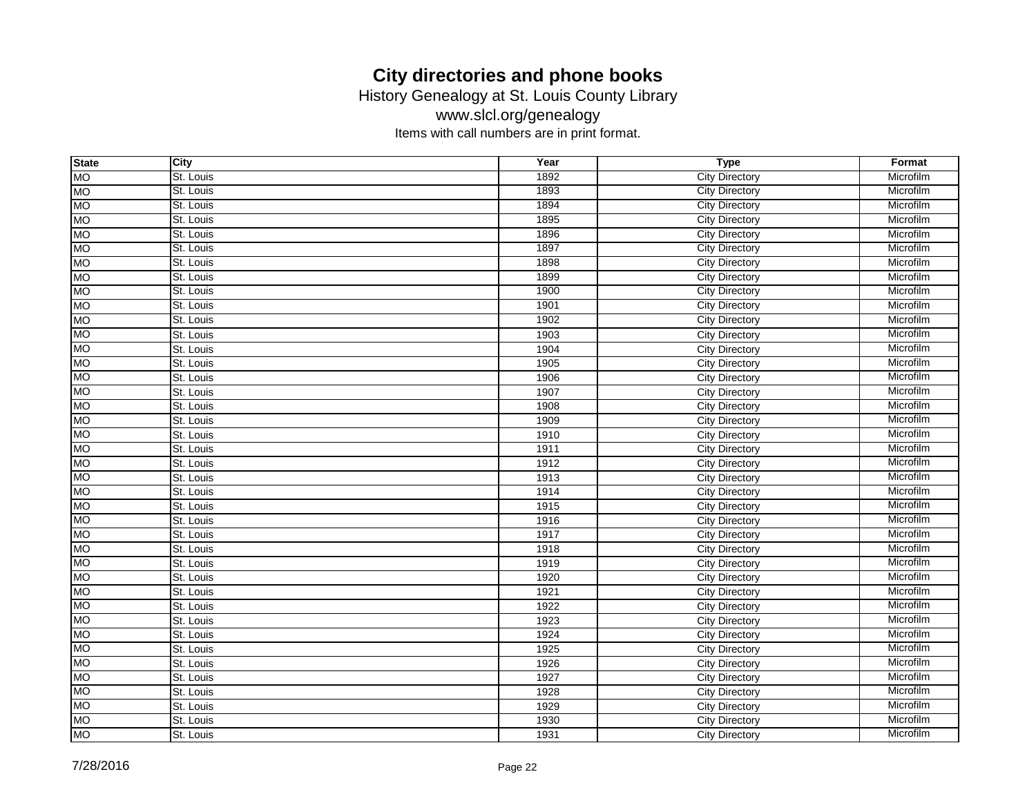History Genealogy at St. Louis County Library

www.slcl.org/genealogy

| <b>State</b> | City      | Year | <b>Type</b>           | Format    |
|--------------|-----------|------|-----------------------|-----------|
| <b>MO</b>    | St. Louis | 1892 | <b>City Directory</b> | Microfilm |
| <b>MO</b>    | St. Louis | 1893 | <b>City Directory</b> | Microfilm |
| <b>MO</b>    | St. Louis | 1894 | <b>City Directory</b> | Microfilm |
| <b>MO</b>    | St. Louis | 1895 | <b>City Directory</b> | Microfilm |
| <b>MO</b>    | St. Louis | 1896 | <b>City Directory</b> | Microfilm |
| <b>MO</b>    | St. Louis | 1897 | <b>City Directory</b> | Microfilm |
| <b>MO</b>    | St. Louis | 1898 | <b>City Directory</b> | Microfilm |
| <b>MO</b>    | St. Louis | 1899 | <b>City Directory</b> | Microfilm |
| <b>MO</b>    | St. Louis | 1900 | <b>City Directory</b> | Microfilm |
| <b>MO</b>    | St. Louis | 1901 | <b>City Directory</b> | Microfilm |
| <b>MO</b>    | St. Louis | 1902 | <b>City Directory</b> | Microfilm |
| <b>MO</b>    | St. Louis | 1903 | <b>City Directory</b> | Microfilm |
| <b>MO</b>    | St. Louis | 1904 | <b>City Directory</b> | Microfilm |
| <b>MO</b>    | St. Louis | 1905 | <b>City Directory</b> | Microfilm |
| <b>MO</b>    | St. Louis | 1906 | <b>City Directory</b> | Microfilm |
| <b>MO</b>    | St. Louis | 1907 | <b>City Directory</b> | Microfilm |
| <b>MO</b>    | St. Louis | 1908 | City Directory        | Microfilm |
| <b>MO</b>    | St. Louis | 1909 | <b>City Directory</b> | Microfilm |
| <b>MO</b>    | St. Louis | 1910 | <b>City Directory</b> | Microfilm |
| <b>MO</b>    | St. Louis | 1911 | <b>City Directory</b> | Microfilm |
| <b>MO</b>    | St. Louis | 1912 | <b>City Directory</b> | Microfilm |
| <b>MO</b>    | St. Louis | 1913 | <b>City Directory</b> | Microfilm |
| <b>MO</b>    | St. Louis | 1914 | <b>City Directory</b> | Microfilm |
| <b>MO</b>    | St. Louis | 1915 | <b>City Directory</b> | Microfilm |
| <b>MO</b>    | St. Louis | 1916 | <b>City Directory</b> | Microfilm |
| <b>MO</b>    | St. Louis | 1917 | <b>City Directory</b> | Microfilm |
| <b>MO</b>    | St. Louis | 1918 | City Directory        | Microfilm |
| <b>MO</b>    | St. Louis | 1919 | City Directory        | Microfilm |
| <b>MO</b>    | St. Louis | 1920 | <b>City Directory</b> | Microfilm |
| <b>MO</b>    | St. Louis | 1921 | <b>City Directory</b> | Microfilm |
| <b>MO</b>    | St. Louis | 1922 | <b>City Directory</b> | Microfilm |
| <b>MO</b>    | St. Louis | 1923 | <b>City Directory</b> | Microfilm |
| <b>MO</b>    | St. Louis | 1924 | <b>City Directory</b> | Microfilm |
| <b>MO</b>    | St. Louis | 1925 | City Directory        | Microfilm |
| <b>MO</b>    | St. Louis | 1926 | <b>City Directory</b> | Microfilm |
| <b>MO</b>    | St. Louis | 1927 | City Directory        | Microfilm |
| <b>MO</b>    | St. Louis | 1928 | <b>City Directory</b> | Microfilm |
| <b>MO</b>    | St. Louis | 1929 | <b>City Directory</b> | Microfilm |
| <b>MO</b>    | St. Louis | 1930 | <b>City Directory</b> | Microfilm |
| <b>MO</b>    | St. Louis | 1931 | <b>City Directory</b> | Microfilm |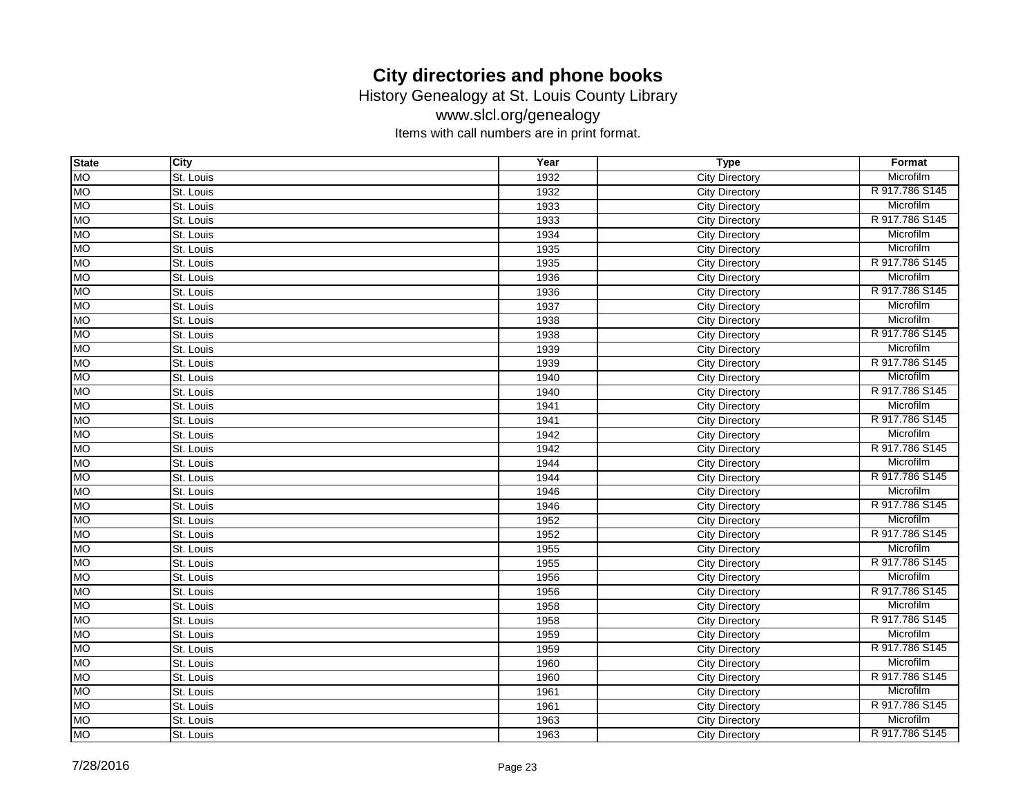History Genealogy at St. Louis County Library

www.slcl.org/genealogy

| <b>State</b> | City      | Year | <b>Type</b>           | Format         |
|--------------|-----------|------|-----------------------|----------------|
| <b>MO</b>    | St. Louis | 1932 | <b>City Directory</b> | Microfilm      |
| ЮM           | St. Louis | 1932 | City Directory        | R 917.786 S145 |
| <b>MO</b>    | St. Louis | 1933 | <b>City Directory</b> | Microfilm      |
| <b>NO</b>    | St. Louis | 1933 | City Directory        | R 917.786 S145 |
| Ю            | St. Louis | 1934 | <b>City Directory</b> | Microfilm      |
| <b>MO</b>    | St. Louis | 1935 | <b>City Directory</b> | Microfilm      |
| <b>OM</b>    | St. Louis | 1935 | <b>City Directory</b> | R 917.786 S145 |
| МO           | St. Louis | 1936 | <b>City Directory</b> | Microfilm      |
| <b>MO</b>    | St. Louis | 1936 | <b>City Directory</b> | R 917.786 S145 |
| <b>MO</b>    | St. Louis | 1937 | <b>City Directory</b> | Microfilm      |
| Ю            | St. Louis | 1938 | <b>City Directory</b> | Microfilm      |
| <b>MO</b>    | St. Louis | 1938 | City Directory        | R 917.786 S145 |
| <b>MO</b>    | St. Louis | 1939 | City Directory        | Microfilm      |
| <b>MO</b>    | St. Louis | 1939 | <b>City Directory</b> | R 917.786 S145 |
| <b>OM</b>    | St. Louis | 1940 | <b>City Directory</b> | Microfilm      |
| <b>MO</b>    | St. Louis | 1940 | <b>City Directory</b> | R 917.786 S145 |
| <b>MO</b>    | St. Louis | 1941 | <b>City Directory</b> | Microfilm      |
| <b>OM</b>    | St. Louis | 1941 | <b>City Directory</b> | R 917.786 S145 |
| <b>MO</b>    | St. Louis | 1942 | <b>City Directory</b> | Microfilm      |
| <b>MO</b>    | St. Louis | 1942 | <b>City Directory</b> | R 917.786 S145 |
| <b>MO</b>    | St. Louis | 1944 | <b>City Directory</b> | Microfilm      |
| Ю            | St. Louis | 1944 | <b>City Directory</b> | R 917.786 S145 |
| <b>MO</b>    | St. Louis | 1946 | <b>City Directory</b> | Microfilm      |
| <b>MO</b>    | St. Louis | 1946 | <b>City Directory</b> | R 917.786 S145 |
| <b>MO</b>    | St. Louis | 1952 | City Directory        | Microfilm      |
| МO           | St. Louis | 1952 | City Directory        | R 917.786 S145 |
| <b>MO</b>    | St. Louis | 1955 | City Directory        | Microfilm      |
| <b>NO</b>    | St. Louis | 1955 | <b>City Directory</b> | R 917.786 S145 |
| <b>MO</b>    | St. Louis | 1956 | City Directory        | Microfilm      |
| <b>MO</b>    | St. Louis | 1956 | <b>City Directory</b> | R 917.786 S145 |
| <b>MO</b>    | St. Louis | 1958 | <b>City Directory</b> | Microfilm      |
| <b>OM</b>    | St. Louis | 1958 | <b>City Directory</b> | R 917.786 S145 |
| МO           | St. Louis | 1959 | City Directory        | Microfilm      |
| Ю            | St. Louis | 1959 | City Directory        | R 917.786 S145 |
| <b>OM</b>    | St. Louis | 1960 | <b>City Directory</b> | Microfilm      |
| <b>MO</b>    | St. Louis | 1960 | City Directory        | R 917.786 S145 |
| <b>MO</b>    | St. Louis | 1961 | <b>City Directory</b> | Microfilm      |
| <b>MO</b>    | St. Louis | 1961 | <b>City Directory</b> | R 917.786 S145 |
| <b>OM</b>    | St. Louis | 1963 | <b>City Directory</b> | Microfilm      |
| <b>MO</b>    | St. Louis | 1963 | <b>City Directory</b> | R 917.786 S145 |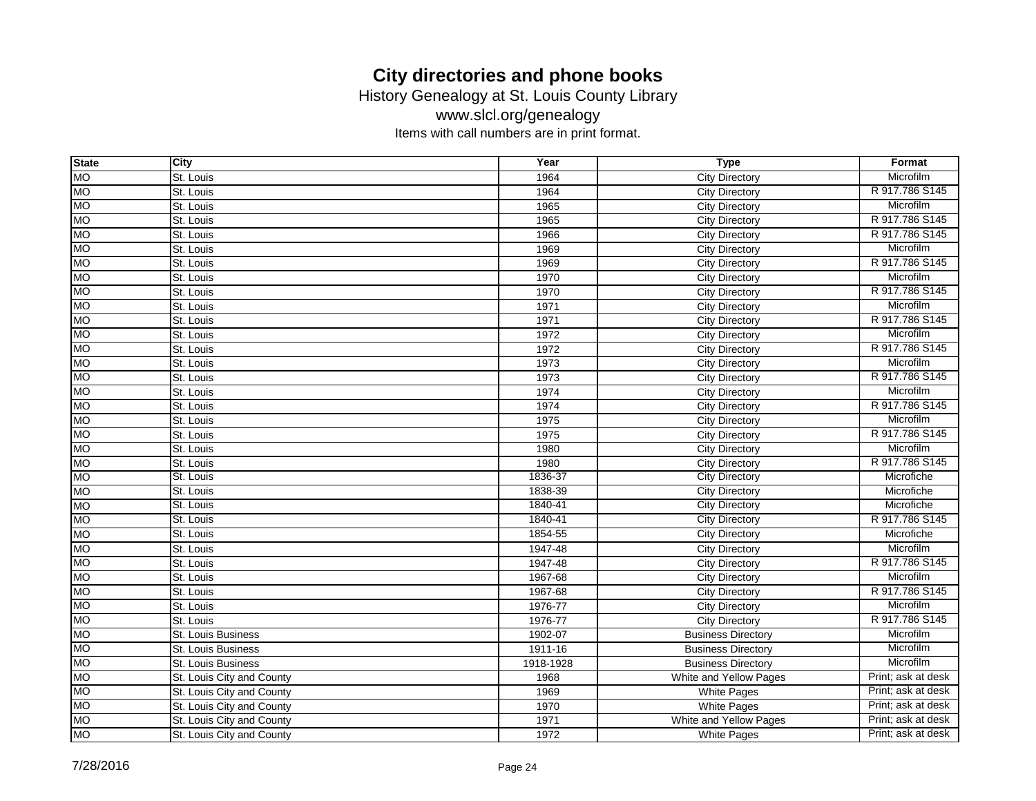History Genealogy at St. Louis County Library

www.slcl.org/genealogy

| <b>State</b> | City                      | Year      | <b>Type</b>               | Format             |
|--------------|---------------------------|-----------|---------------------------|--------------------|
| <b>MO</b>    | St. Louis                 | 1964      | <b>City Directory</b>     | Microfilm          |
| ЮM           | St. Louis                 | 1964      | <b>City Directory</b>     | R 917.786 S145     |
| <b>MO</b>    | St. Louis                 | 1965      | <b>City Directory</b>     | Microfilm          |
| <b>OM</b>    | St. Louis                 | 1965      | City Directory            | R 917.786 S145     |
| Ю            | St. Louis                 | 1966      | <b>City Directory</b>     | R 917,786 S145     |
| <b>MO</b>    | St. Louis                 | 1969      | <b>City Directory</b>     | Microfilm          |
| <b>OM</b>    | St. Louis                 | 1969      | <b>City Directory</b>     | R 917.786 S145     |
| <b>MO</b>    | St. Louis                 | 1970      | <b>City Directory</b>     | Microfilm          |
| <b>MO</b>    | St. Louis                 | 1970      | <b>City Directory</b>     | R 917.786 S145     |
| <b>MO</b>    | St. Louis                 | 1971      | <b>City Directory</b>     | Microfilm          |
| <b>OM</b>    | St. Louis                 | 1971      | <b>City Directory</b>     | R 917.786 S145     |
| <b>MO</b>    | St. Louis                 | 1972      | City Directory            | Microfilm          |
| <b>MO</b>    | St. Louis                 | 1972      | <b>City Directory</b>     | R 917.786 S145     |
| <b>MO</b>    | St. Louis                 | 1973      | <b>City Directory</b>     | Microfilm          |
| <b>OM</b>    | St. Louis                 | 1973      | <b>City Directory</b>     | R 917.786 S145     |
| <b>MO</b>    | St. Louis                 | 1974      | <b>City Directory</b>     | Microfilm          |
| <b>MO</b>    | St. Louis                 | 1974      | <b>City Directory</b>     | R 917.786 S145     |
| <b>OM</b>    | St. Louis                 | 1975      | City Directory            | Microfilm          |
| <b>MO</b>    | St. Louis                 | 1975      | <b>City Directory</b>     | R 917.786 S145     |
| <b>MO</b>    | St. Louis                 | 1980      | <b>City Directory</b>     | Microfilm          |
| <b>MO</b>    | St. Louis                 | 1980      | <b>City Directory</b>     | R 917.786 S145     |
| Ю            | St. Louis                 | 1836-37   | <b>City Directory</b>     | Microfiche         |
| <b>MO</b>    | St. Louis                 | 1838-39   | <b>City Directory</b>     | Microfiche         |
| <b>MO</b>    | St. Louis                 | 1840-41   | <b>City Directory</b>     | Microfiche         |
| <b>MO</b>    | St. Louis                 | 1840-41   | <b>City Directory</b>     | R 917.786 S145     |
| МO           | St. Louis                 | 1854-55   | <b>City Directory</b>     | Microfiche         |
| <b>MO</b>    | St. Louis                 | 1947-48   | <b>City Directory</b>     | Microfilm          |
| <b>NO</b>    | St. Louis                 | 1947-48   | <b>City Directory</b>     | R 917.786 S145     |
| <b>MO</b>    | St. Louis                 | 1967-68   | <b>City Directory</b>     | Microfilm          |
| <b>MO</b>    | St. Louis                 | 1967-68   | <b>City Directory</b>     | R 917.786 S145     |
| <b>MO</b>    | St. Louis                 | 1976-77   | <b>City Directory</b>     | Microfilm          |
| <b>OM</b>    | St. Louis                 | 1976-77   | <b>City Directory</b>     | R 917.786 S145     |
| МO           | St. Louis Business        | 1902-07   | <b>Business Directory</b> | Microfilm          |
| Ю            | St. Louis Business        | 1911-16   | <b>Business Directory</b> | Microfilm          |
| <b>OM</b>    | St. Louis Business        | 1918-1928 | <b>Business Directory</b> | Microfilm          |
| <b>MO</b>    | St. Louis City and County | 1968      | White and Yellow Pages    | Print; ask at desk |
| <b>MO</b>    | St. Louis City and County | 1969      | White Pages               | Print; ask at desk |
| <b>MO</b>    | St. Louis City and County | 1970      | White Pages               | Print; ask at desk |
| <b>OM</b>    | St. Louis City and County | 1971      | White and Yellow Pages    | Print; ask at desk |
| <b>MO</b>    | St. Louis City and County | 1972      | White Pages               | Print; ask at desk |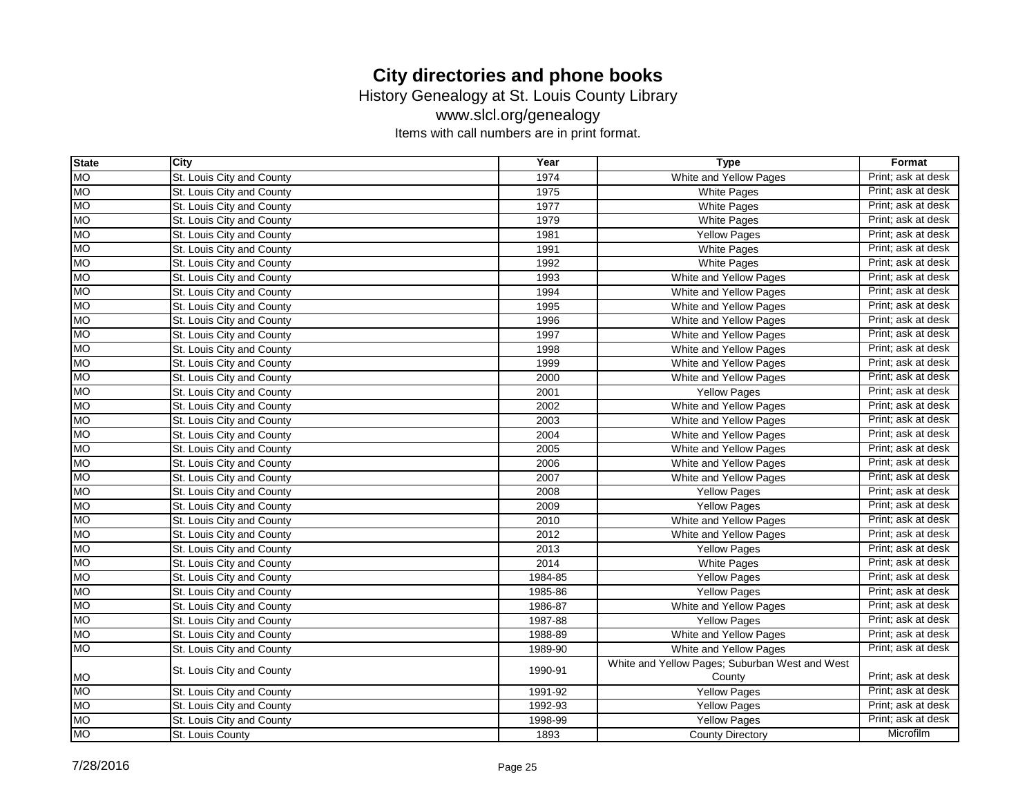History Genealogy at St. Louis County Library

www.slcl.org/genealogy

| <b>State</b> | City                      | Year    | <b>Type</b>                                    | Format             |
|--------------|---------------------------|---------|------------------------------------------------|--------------------|
| <b>MO</b>    | St. Louis City and County | 1974    | White and Yellow Pages                         | Print: ask at desk |
| <b>MO</b>    | St. Louis City and County | 1975    | <b>White Pages</b>                             | Print; ask at desk |
| <b>MO</b>    | St. Louis City and County | 1977    | <b>White Pages</b>                             | Print; ask at desk |
| <b>MO</b>    | St. Louis City and County | 1979    | <b>White Pages</b>                             | Print; ask at desk |
| <b>MO</b>    | St. Louis City and County | 1981    | <b>Yellow Pages</b>                            | Print; ask at desk |
| <b>MO</b>    | St. Louis City and County | 1991    | White Pages                                    | Print; ask at desk |
| <b>MO</b>    | St. Louis City and County | 1992    | <b>White Pages</b>                             | Print; ask at desk |
| <b>MO</b>    | St. Louis City and County | 1993    | White and Yellow Pages                         | Print; ask at desk |
| <b>MO</b>    | St. Louis City and County | 1994    | White and Yellow Pages                         | Print; ask at desk |
| <b>MO</b>    | St. Louis City and County | 1995    | White and Yellow Pages                         | Print; ask at desk |
| <b>MO</b>    | St. Louis City and County | 1996    | White and Yellow Pages                         | Print; ask at desk |
| <b>MO</b>    | St. Louis City and County | 1997    | White and Yellow Pages                         | Print; ask at desk |
| <b>MO</b>    | St. Louis City and County | 1998    | White and Yellow Pages                         | Print; ask at desk |
| <b>MO</b>    | St. Louis City and County | 1999    | White and Yellow Pages                         | Print; ask at desk |
| <b>MO</b>    | St. Louis City and County | 2000    | White and Yellow Pages                         | Print; ask at desk |
| <b>MO</b>    | St. Louis City and County | 2001    | <b>Yellow Pages</b>                            | Print; ask at desk |
| <b>MO</b>    | St. Louis City and County | 2002    | White and Yellow Pages                         | Print; ask at desk |
| <b>MO</b>    | St. Louis City and County | 2003    | White and Yellow Pages                         | Print; ask at desk |
| <b>MO</b>    | St. Louis City and County | 2004    | White and Yellow Pages                         | Print; ask at desk |
| <b>MO</b>    | St. Louis City and County | 2005    | White and Yellow Pages                         | Print; ask at desk |
| <b>MO</b>    | St. Louis City and County | 2006    | White and Yellow Pages                         | Print; ask at desk |
| <b>MO</b>    | St. Louis City and County | 2007    | White and Yellow Pages                         | Print; ask at desk |
| <b>MO</b>    | St. Louis City and County | 2008    | <b>Yellow Pages</b>                            | Print; ask at desk |
| <b>MO</b>    | St. Louis City and County | 2009    | <b>Yellow Pages</b>                            | Print; ask at desk |
| <b>MO</b>    | St. Louis City and County | 2010    | White and Yellow Pages                         | Print; ask at desk |
| <b>MO</b>    | St. Louis City and County | 2012    | White and Yellow Pages                         | Print; ask at desk |
| <b>MO</b>    | St. Louis City and County | 2013    | <b>Yellow Pages</b>                            | Print; ask at desk |
| <b>MO</b>    | St. Louis City and County | 2014    | <b>White Pages</b>                             | Print; ask at desk |
| <b>MO</b>    | St. Louis City and County | 1984-85 | Yellow Pages                                   | Print; ask at desk |
| <b>MO</b>    | St. Louis City and County | 1985-86 | <b>Yellow Pages</b>                            | Print; ask at desk |
| <b>MO</b>    | St. Louis City and County | 1986-87 | White and Yellow Pages                         | Print; ask at desk |
| <b>MO</b>    | St. Louis City and County | 1987-88 | <b>Yellow Pages</b>                            | Print; ask at desk |
| <b>MO</b>    | St. Louis City and County | 1988-89 | White and Yellow Pages                         | Print; ask at desk |
| <b>MO</b>    | St. Louis City and County | 1989-90 | White and Yellow Pages                         | Print; ask at desk |
|              | St. Louis City and County | 1990-91 | White and Yellow Pages; Suburban West and West |                    |
| <b>MO</b>    |                           |         | County                                         | Print; ask at desk |
| <b>MO</b>    | St. Louis City and County | 1991-92 | Yellow Pages                                   | Print; ask at desk |
| <b>MO</b>    | St. Louis City and County | 1992-93 | <b>Yellow Pages</b>                            | Print; ask at desk |
| <b>MO</b>    | St. Louis City and County | 1998-99 | <b>Yellow Pages</b>                            | Print; ask at desk |
| <b>MO</b>    | St. Louis County          | 1893    | <b>County Directory</b>                        | Microfilm          |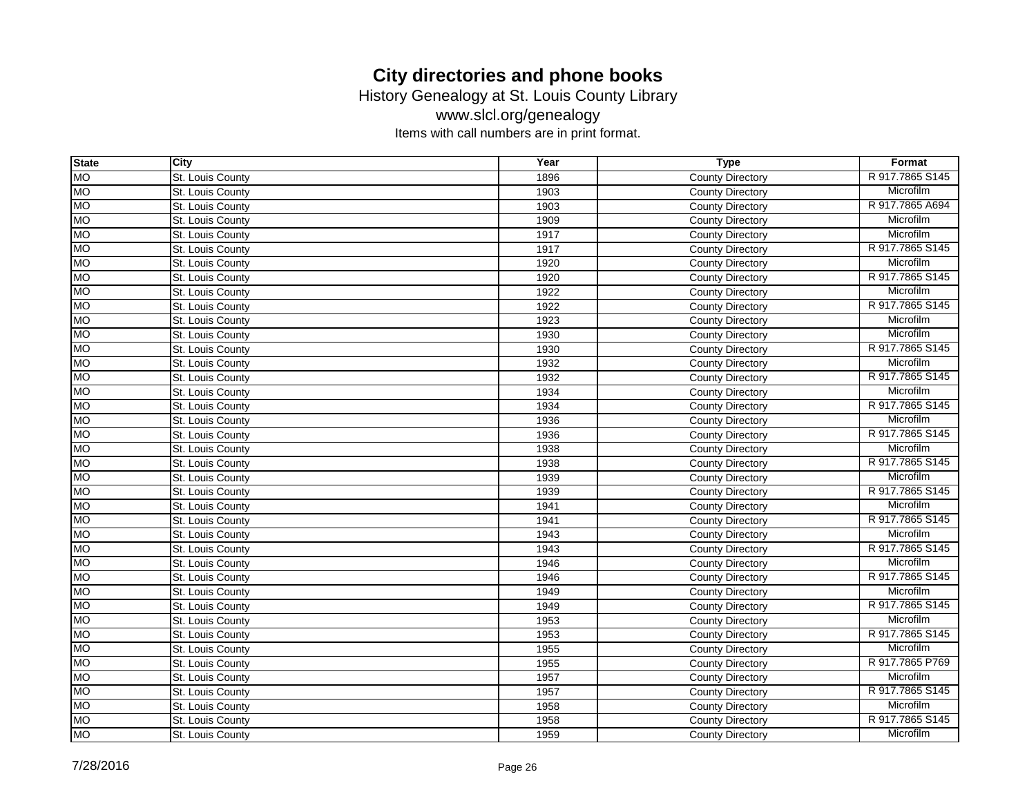History Genealogy at St. Louis County Library

www.slcl.org/genealogy

| <b>State</b> | City             | Year | <b>Type</b>             | Format           |
|--------------|------------------|------|-------------------------|------------------|
| <b>MO</b>    | St. Louis County | 1896 | <b>County Directory</b> | R 917, 7865 S145 |
| <b>MO</b>    | St. Louis County | 1903 | <b>County Directory</b> | Microfilm        |
| <b>MO</b>    | St. Louis County | 1903 | <b>County Directory</b> | R 917.7865 A694  |
| <b>MO</b>    | St. Louis County | 1909 | <b>County Directory</b> | Microfilm        |
| <b>MO</b>    | St. Louis County | 1917 | <b>County Directory</b> | Microfilm        |
| <b>MO</b>    | St. Louis County | 1917 | <b>County Directory</b> | R 917.7865 S145  |
| <b>MO</b>    | St. Louis County | 1920 | <b>County Directory</b> | Microfilm        |
| <b>MO</b>    | St. Louis County | 1920 | <b>County Directory</b> | R 917.7865 S145  |
| <b>MO</b>    | St. Louis County | 1922 | <b>County Directory</b> | Microfilm        |
| <b>MO</b>    | St. Louis County | 1922 | <b>County Directory</b> | R 917.7865 S145  |
| <b>MO</b>    | St. Louis County | 1923 | <b>County Directory</b> | Microfilm        |
| <b>MO</b>    | St. Louis County | 1930 | <b>County Directory</b> | Microfilm        |
| <b>MO</b>    | St. Louis County | 1930 | <b>County Directory</b> | R 917.7865 S145  |
| <b>MO</b>    | St. Louis County | 1932 | <b>County Directory</b> | Microfilm        |
| <b>MO</b>    | St. Louis County | 1932 | <b>County Directory</b> | R 917.7865 S145  |
| <b>MO</b>    | St. Louis County | 1934 | <b>County Directory</b> | Microfilm        |
| <b>MO</b>    | St. Louis County | 1934 | <b>County Directory</b> | R 917.7865 S145  |
| <b>MO</b>    | St. Louis County | 1936 | <b>County Directory</b> | Microfilm        |
| <b>MO</b>    | St. Louis County | 1936 | <b>County Directory</b> | R 917.7865 S145  |
| <b>MO</b>    | St. Louis County | 1938 | <b>County Directory</b> | Microfilm        |
| <b>MO</b>    | St. Louis County | 1938 | <b>County Directory</b> | R 917.7865 S145  |
| <b>MO</b>    | St. Louis County | 1939 | <b>County Directory</b> | Microfilm        |
| <b>MO</b>    | St. Louis County | 1939 | <b>County Directory</b> | R 917.7865 S145  |
| <b>MO</b>    | St. Louis County | 1941 | <b>County Directory</b> | Microfilm        |
| <b>MO</b>    | St. Louis County | 1941 | <b>County Directory</b> | R 917.7865 S145  |
| <b>MO</b>    | St. Louis County | 1943 | <b>County Directory</b> | Microfilm        |
| <b>MO</b>    | St. Louis County | 1943 | <b>County Directory</b> | R 917.7865 S145  |
| <b>MO</b>    | St. Louis County | 1946 | <b>County Directory</b> | Microfilm        |
| <b>MO</b>    | St. Louis County | 1946 | <b>County Directory</b> | R 917.7865 S145  |
| <b>MO</b>    | St. Louis County | 1949 | <b>County Directory</b> | Microfilm        |
| <b>MO</b>    | St. Louis County | 1949 | <b>County Directory</b> | R 917.7865 S145  |
| <b>MO</b>    | St. Louis County | 1953 | <b>County Directory</b> | Microfilm        |
| <b>MO</b>    | St. Louis County | 1953 | <b>County Directory</b> | R 917.7865 S145  |
| <b>MO</b>    | St. Louis County | 1955 | <b>County Directory</b> | Microfilm        |
| <b>MO</b>    | St. Louis County | 1955 | <b>County Directory</b> | R 917.7865 P769  |
| <b>MO</b>    | St. Louis County | 1957 | <b>County Directory</b> | Microfilm        |
| <b>MO</b>    | St. Louis County | 1957 | <b>County Directory</b> | R 917.7865 S145  |
| <b>MO</b>    | St. Louis County | 1958 | <b>County Directory</b> | Microfilm        |
| <b>MO</b>    | St. Louis County | 1958 | <b>County Directory</b> | R 917.7865 S145  |
| <b>MO</b>    | St. Louis County | 1959 | <b>County Directory</b> | Microfilm        |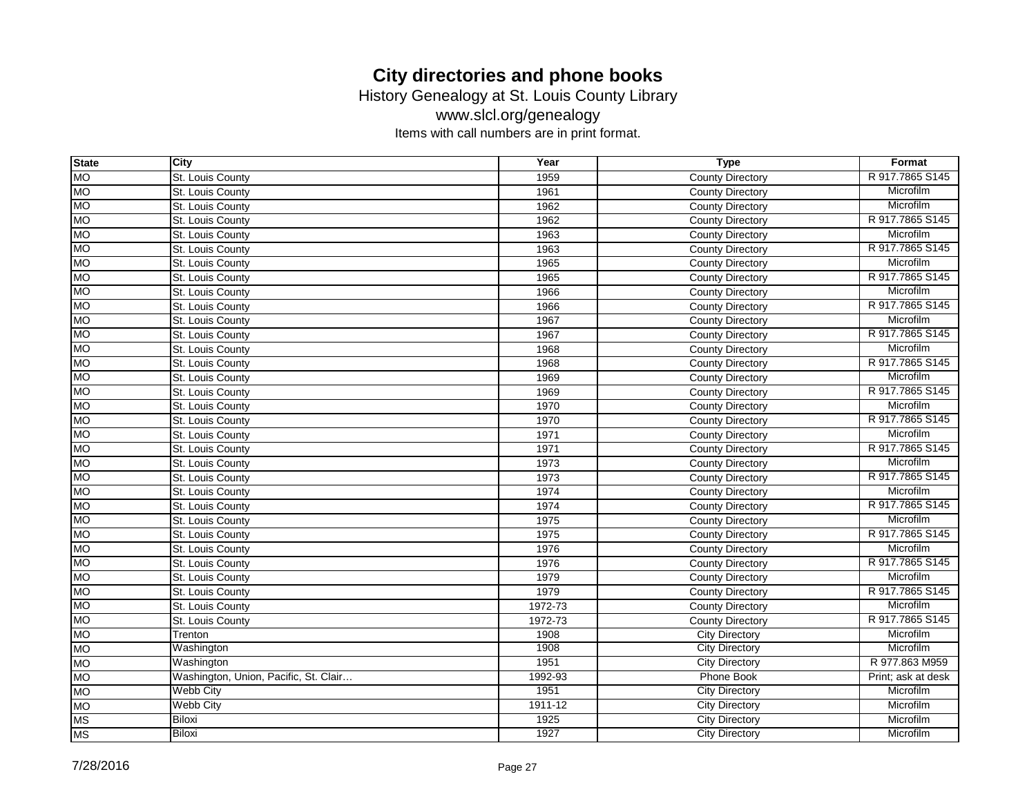History Genealogy at St. Louis County Library

www.slcl.org/genealogy

| <b>State</b> | City                                  | Year        | <b>Type</b>             | Format             |
|--------------|---------------------------------------|-------------|-------------------------|--------------------|
| <b>MO</b>    | St. Louis County                      | 1959        | <b>County Directory</b> | R 917, 7865 S145   |
| <b>MO</b>    | St. Louis County                      | 1961        | <b>County Directory</b> | Microfilm          |
| <b>MO</b>    | St. Louis County                      | 1962        | <b>County Directory</b> | Microfilm          |
| <b>MO</b>    | St. Louis County                      | 1962        | County Directory        | R 917.7865 S145    |
| <b>MO</b>    | St. Louis County                      | 1963        | <b>County Directory</b> | Microfilm          |
| <b>MO</b>    | St. Louis County                      | 1963        | <b>County Directory</b> | R 917.7865 S145    |
| <b>MO</b>    | St. Louis County                      | 1965        | <b>County Directory</b> | Microfilm          |
| <b>MO</b>    | St. Louis County                      | 1965        | <b>County Directory</b> | R 917.7865 S145    |
| <b>MO</b>    | St. Louis County                      | 1966        | <b>County Directory</b> | Microfilm          |
| <b>MO</b>    | St. Louis County                      | 1966        | <b>County Directory</b> | R 917.7865 S145    |
| <b>MO</b>    | St. Louis County                      | 1967        | <b>County Directory</b> | Microfilm          |
| <b>MO</b>    | St. Louis County                      | 1967        | <b>County Directory</b> | R 917,7865 S145    |
| <b>MO</b>    | St. Louis County                      | 1968        | <b>County Directory</b> | Microfilm          |
| <b>MO</b>    | St. Louis County                      | 1968        | <b>County Directory</b> | R 917.7865 S145    |
| <b>MO</b>    | St. Louis County                      | 1969        | <b>County Directory</b> | Microfilm          |
| <b>MO</b>    | St. Louis County                      | 1969        | <b>County Directory</b> | R 917.7865 S145    |
| <b>MO</b>    | St. Louis County                      | 1970        | <b>County Directory</b> | Microfilm          |
| <b>MO</b>    | St. Louis County                      | 1970        | <b>County Directory</b> | R 917.7865 S145    |
| <b>MO</b>    | St. Louis County                      | 1971        | <b>County Directory</b> | Microfilm          |
| <b>MO</b>    | St. Louis County                      | 1971        | <b>County Directory</b> | R 917.7865 S145    |
| <b>MO</b>    | St. Louis County                      | 1973        | <b>County Directory</b> | Microfilm          |
| <b>MO</b>    | St. Louis County                      | 1973        | <b>County Directory</b> | R 917,7865 S145    |
| <b>MO</b>    | St. Louis County                      | 1974        | <b>County Directory</b> | Microfilm          |
| <b>MO</b>    | St. Louis County                      | 1974        | <b>County Directory</b> | R 917.7865 S145    |
| <b>MO</b>    | St. Louis County                      | 1975        | <b>County Directory</b> | Microfilm          |
| <b>MO</b>    | St. Louis County                      | 1975        | <b>County Directory</b> | R 917.7865 S145    |
| <b>MO</b>    | St. Louis County                      | 1976        | <b>County Directory</b> | Microfilm          |
| <b>MO</b>    | St. Louis County                      | 1976        | <b>County Directory</b> | R 917.7865 S145    |
| <b>MO</b>    | St. Louis County                      | 1979        | <b>County Directory</b> | Microfilm          |
| <b>MO</b>    | St. Louis County                      | 1979        | <b>County Directory</b> | R 917.7865 S145    |
| <b>MO</b>    | St. Louis County                      | 1972-73     | <b>County Directory</b> | Microfilm          |
| <b>MO</b>    | St. Louis County                      | 1972-73     | <b>County Directory</b> | R 917.7865 S145    |
| <b>MO</b>    | Trenton                               | 1908        | <b>City Directory</b>   | Microfilm          |
| <b>MO</b>    | Washington                            | 1908        | <b>City Directory</b>   | Microfilm          |
| <b>MO</b>    | Washington                            | 1951        | <b>City Directory</b>   | R 977,863 M959     |
| <b>MO</b>    | Washington, Union, Pacific, St. Clair | 1992-93     | <b>Phone Book</b>       | Print; ask at desk |
| <b>MO</b>    | <b>Webb City</b>                      | 1951        | <b>City Directory</b>   | Microfilm          |
| <b>MO</b>    | <b>Webb City</b>                      | $1911 - 12$ | <b>City Directory</b>   | Microfilm          |
| <b>MS</b>    | Biloxi                                | 1925        | <b>City Directory</b>   | Microfilm          |
| <b>MS</b>    | Biloxi                                | 1927        | <b>City Directory</b>   | Microfilm          |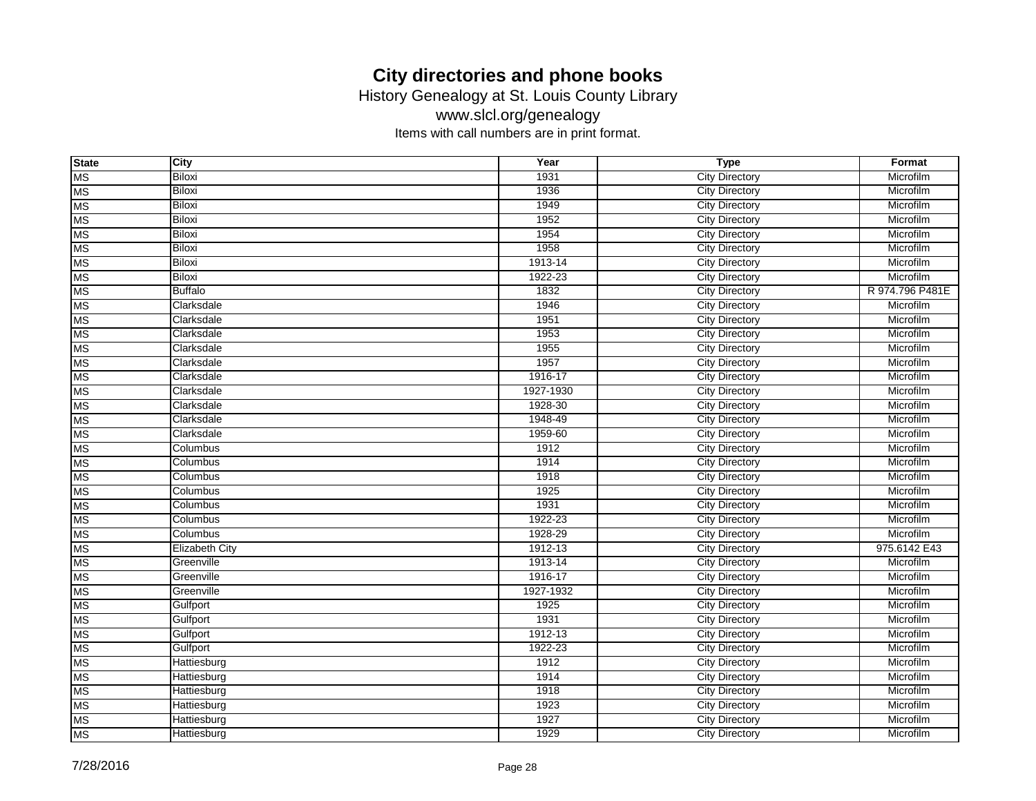History Genealogy at St. Louis County Library

www.slcl.org/genealogy

| <b>State</b> | City                  | Year      | <b>Type</b>           | Format          |
|--------------|-----------------------|-----------|-----------------------|-----------------|
| <b>MS</b>    | <b>Biloxi</b>         | 1931      | <b>City Directory</b> | Microfilm       |
| <b>MS</b>    | <b>Biloxi</b>         | 1936      | <b>City Directory</b> | Microfilm       |
| <b>MS</b>    | <b>Biloxi</b>         | 1949      | <b>City Directory</b> | Microfilm       |
| <b>MS</b>    | <b>Biloxi</b>         | 1952      | <b>City Directory</b> | Microfilm       |
| <b>MS</b>    | <b>Biloxi</b>         | 1954      | <b>City Directory</b> | Microfilm       |
| <b>MS</b>    | <b>Biloxi</b>         | 1958      | <b>City Directory</b> | Microfilm       |
| <b>MS</b>    | <b>Biloxi</b>         | 1913-14   | <b>City Directory</b> | Microfilm       |
| <b>MS</b>    | <b>Biloxi</b>         | 1922-23   | <b>City Directory</b> | Microfilm       |
| <b>MS</b>    | <b>Buffalo</b>        | 1832      | <b>City Directory</b> | R 974.796 P481E |
| <b>MS</b>    | Clarksdale            | 1946      | <b>City Directory</b> | Microfilm       |
| <b>MS</b>    | Clarksdale            | 1951      | <b>City Directory</b> | Microfilm       |
| <b>MS</b>    | Clarksdale            | 1953      | <b>City Directory</b> | Microfilm       |
| <b>MS</b>    | Clarksdale            | 1955      | <b>City Directory</b> | Microfilm       |
| <b>MS</b>    | Clarksdale            | 1957      | <b>City Directory</b> | Microfilm       |
| <b>MS</b>    | Clarksdale            | 1916-17   | <b>City Directory</b> | Microfilm       |
| <b>MS</b>    | Clarksdale            | 1927-1930 | <b>City Directory</b> | Microfilm       |
| <b>MS</b>    | Clarksdale            | 1928-30   | <b>City Directory</b> | Microfilm       |
| <b>MS</b>    | Clarksdale            | 1948-49   | <b>City Directory</b> | Microfilm       |
| <b>MS</b>    | Clarksdale            | 1959-60   | <b>City Directory</b> | Microfilm       |
| <b>MS</b>    | Columbus              | 1912      | <b>City Directory</b> | Microfilm       |
| <b>MS</b>    | Columbus              | 1914      | <b>City Directory</b> | Microfilm       |
| <b>MS</b>    | Columbus              | 1918      | <b>City Directory</b> | Microfilm       |
| <b>MS</b>    | Columbus              | 1925      | <b>City Directory</b> | Microfilm       |
| <b>MS</b>    | Columbus              | 1931      | <b>City Directory</b> | Microfilm       |
| <b>MS</b>    | Columbus              | 1922-23   | <b>City Directory</b> | Microfilm       |
| <b>MS</b>    | Columbus              | 1928-29   | <b>City Directory</b> | Microfilm       |
| <b>MS</b>    | <b>Elizabeth City</b> | 1912-13   | <b>City Directory</b> | 975.6142 E43    |
| <b>MS</b>    | Greenville            | 1913-14   | <b>City Directory</b> | Microfilm       |
| <b>MS</b>    | Greenville            | 1916-17   | <b>City Directory</b> | Microfilm       |
| <b>MS</b>    | Greenville            | 1927-1932 | <b>City Directory</b> | Microfilm       |
| <b>MS</b>    | Gulfport              | 1925      | <b>City Directory</b> | Microfilm       |
| <b>MS</b>    | Gulfport              | 1931      | <b>City Directory</b> | Microfilm       |
| <b>MS</b>    | Gulfport              | 1912-13   | <b>City Directory</b> | Microfilm       |
| <b>MS</b>    | Gulfport              | 1922-23   | <b>City Directory</b> | Microfilm       |
| <b>MS</b>    | Hattiesburg           | 1912      | <b>City Directory</b> | Microfilm       |
| <b>MS</b>    | <b>Hattiesburg</b>    | 1914      | <b>City Directory</b> | Microfilm       |
| <b>MS</b>    | Hattiesburg           | 1918      | <b>City Directory</b> | Microfilm       |
| <b>MS</b>    | Hattiesburg           | 1923      | <b>City Directory</b> | Microfilm       |
| <b>MS</b>    | Hattiesburg           | 1927      | <b>City Directory</b> | Microfilm       |
| <b>MS</b>    | Hattiesburg           | 1929      | <b>City Directory</b> | Microfilm       |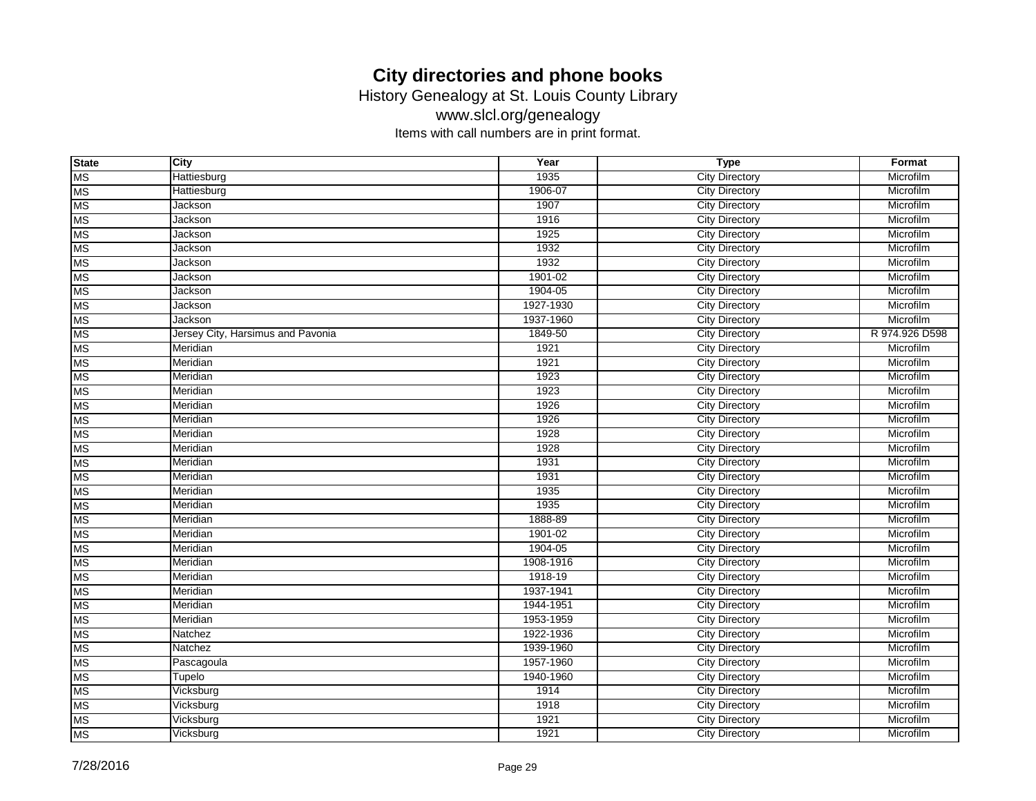History Genealogy at St. Louis County Library

www.slcl.org/genealogy

| <b>State</b> | <b>City</b>                       | Year      | <b>Type</b>           | Format         |
|--------------|-----------------------------------|-----------|-----------------------|----------------|
| <b>MS</b>    | Hattiesburg                       | 1935      | <b>City Directory</b> | Microfilm      |
| <b>MS</b>    | Hattiesburg                       | 1906-07   | <b>City Directory</b> | Microfilm      |
| <b>MS</b>    | Jackson                           | 1907      | <b>City Directory</b> | Microfilm      |
| <b>MS</b>    | Jackson                           | 1916      | <b>City Directory</b> | Microfilm      |
| <b>MS</b>    | Jackson                           | 1925      | <b>City Directory</b> | Microfilm      |
| <b>MS</b>    | Jackson                           | 1932      | <b>City Directory</b> | Microfilm      |
| <b>MS</b>    | Jackson                           | 1932      | <b>City Directory</b> | Microfilm      |
| <b>MS</b>    | Jackson                           | 1901-02   | <b>City Directory</b> | Microfilm      |
| <b>MS</b>    | Jackson                           | 1904-05   | <b>City Directory</b> | Microfilm      |
| <b>MS</b>    | Jackson                           | 1927-1930 | <b>City Directory</b> | Microfilm      |
| <b>MS</b>    | Jackson                           | 1937-1960 | <b>City Directory</b> | Microfilm      |
| <b>MS</b>    | Jersey City, Harsimus and Pavonia | 1849-50   | <b>City Directory</b> | R 974.926 D598 |
| <b>MS</b>    | Meridian                          | 1921      | <b>City Directory</b> | Microfilm      |
| <b>MS</b>    | Meridian                          | 1921      | <b>City Directory</b> | Microfilm      |
| <b>MS</b>    | Meridian                          | 1923      | <b>City Directory</b> | Microfilm      |
| <b>MS</b>    | Meridian                          | 1923      | <b>City Directory</b> | Microfilm      |
| <b>MS</b>    | Meridian                          | 1926      | <b>City Directory</b> | Microfilm      |
| <b>MS</b>    | Meridian                          | 1926      | <b>City Directory</b> | Microfilm      |
| <b>MS</b>    | Meridian                          | 1928      | <b>City Directory</b> | Microfilm      |
| <b>MS</b>    | Meridian                          | 1928      | <b>City Directory</b> | Microfilm      |
| <b>MS</b>    | Meridian                          | 1931      | <b>City Directory</b> | Microfilm      |
| <b>MS</b>    | Meridian                          | 1931      | <b>City Directory</b> | Microfilm      |
| <b>MS</b>    | Meridian                          | 1935      | <b>City Directory</b> | Microfilm      |
| <b>MS</b>    | Meridian                          | 1935      | <b>City Directory</b> | Microfilm      |
| <b>MS</b>    | Meridian                          | 1888-89   | <b>City Directory</b> | Microfilm      |
| <b>MS</b>    | Meridian                          | 1901-02   | <b>City Directory</b> | Microfilm      |
| <b>MS</b>    | Meridian                          | 1904-05   | <b>City Directory</b> | Microfilm      |
| <b>MS</b>    | Meridian                          | 1908-1916 | <b>City Directory</b> | Microfilm      |
| <b>MS</b>    | Meridian                          | 1918-19   | <b>City Directory</b> | Microfilm      |
| <b>MS</b>    | Meridian                          | 1937-1941 | <b>City Directory</b> | Microfilm      |
| <b>MS</b>    | Meridian                          | 1944-1951 | <b>City Directory</b> | Microfilm      |
| <b>MS</b>    | Meridian                          | 1953-1959 | <b>City Directory</b> | Microfilm      |
| <b>MS</b>    | Natchez                           | 1922-1936 | <b>City Directory</b> | Microfilm      |
| <b>MS</b>    | Natchez                           | 1939-1960 | <b>City Directory</b> | Microfilm      |
| <b>MS</b>    | Pascagoula                        | 1957-1960 | <b>City Directory</b> | Microfilm      |
| <b>MS</b>    | Tupelo                            | 1940-1960 | <b>City Directory</b> | Microfilm      |
| <b>MS</b>    | Vicksburg                         | 1914      | <b>City Directory</b> | Microfilm      |
| <b>MS</b>    | Vicksburg                         | 1918      | <b>City Directory</b> | Microfilm      |
| <b>MS</b>    | Vicksburg                         | 1921      | <b>City Directory</b> | Microfilm      |
| <b>MS</b>    | Vicksburg                         | 1921      | <b>City Directory</b> | Microfilm      |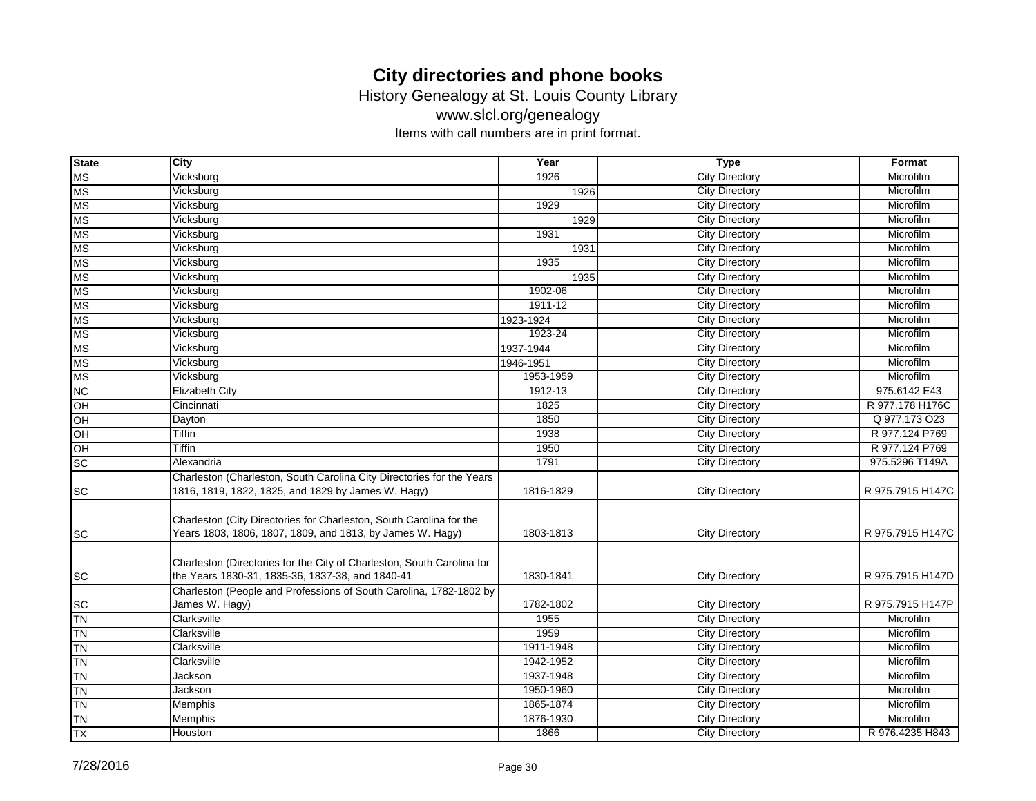History Genealogy at St. Louis County Library

www.slcl.org/genealogy

| <b>State</b> | <b>City</b>                                                                                                                      | Year                   | <b>Type</b>                                    | Format                 |
|--------------|----------------------------------------------------------------------------------------------------------------------------------|------------------------|------------------------------------------------|------------------------|
| <b>MS</b>    | Vicksburg                                                                                                                        | 1926                   | <b>City Directory</b>                          | Microfilm              |
| <b>MS</b>    | Vicksburg                                                                                                                        | 1926                   | <b>City Directory</b>                          | Microfilm              |
| <b>MS</b>    | Vicksburg                                                                                                                        | 1929                   | <b>City Directory</b>                          | Microfilm              |
| <b>MS</b>    | Vicksburg                                                                                                                        | 1929                   | <b>City Directory</b>                          | Microfilm              |
| <b>MS</b>    | Vicksburg                                                                                                                        | 1931                   | <b>City Directory</b>                          | Microfilm              |
| <b>MS</b>    | Vicksburg                                                                                                                        | 1931                   | <b>City Directory</b>                          | Microfilm              |
| <b>MS</b>    | Vicksburg                                                                                                                        | 1935                   | <b>City Directory</b>                          | Microfilm              |
| <b>MS</b>    | Vicksburg                                                                                                                        | 1935                   | <b>City Directory</b>                          | Microfilm              |
| <b>MS</b>    | Vicksburg                                                                                                                        | 1902-06                | <b>City Directory</b>                          | Microfilm              |
| <b>MS</b>    | Vicksburg                                                                                                                        | 1911-12                | <b>City Directory</b>                          | Microfilm              |
| <b>MS</b>    | Vicksburg                                                                                                                        | 1923-1924              | <b>City Directory</b>                          | Microfilm              |
| <b>MS</b>    | Vicksburg                                                                                                                        | 1923-24                | <b>City Directory</b>                          | Microfilm              |
| <b>MS</b>    | Vicksburg                                                                                                                        | 1937-1944              | <b>City Directory</b>                          | Microfilm              |
| <b>MS</b>    | Vicksburg                                                                                                                        | 1946-1951              | <b>City Directory</b>                          | Microfilm              |
| <b>MS</b>    | Vicksburg                                                                                                                        | 1953-1959              | <b>City Directory</b>                          | Microfilm              |
| NC           | <b>Elizabeth City</b>                                                                                                            | 1912-13                | <b>City Directory</b>                          | 975.6142 E43           |
| OH           | Cincinnati                                                                                                                       | 1825                   | <b>City Directory</b>                          | R 977.178 H176C        |
| OH           | Dayton                                                                                                                           | 1850                   | <b>City Directory</b>                          | Q 977.173 O23          |
| OH           | <b>Tiffin</b>                                                                                                                    | 1938                   | <b>City Directory</b>                          | R 977.124 P769         |
| OH           | <b>Tiffin</b>                                                                                                                    | 1950                   | <b>City Directory</b>                          | R 977.124 P769         |
| <b>SC</b>    | Alexandria                                                                                                                       | 1791                   | <b>City Directory</b>                          | 975.5296 T149A         |
| <b>SC</b>    | Charleston (Charleston, South Carolina City Directories for the Years<br>1816, 1819, 1822, 1825, and 1829 by James W. Hagy)      | 1816-1829              | <b>City Directory</b>                          | R 975.7915 H147C       |
| <b>SC</b>    | Charleston (City Directories for Charleston, South Carolina for the<br>Years 1803, 1806, 1807, 1809, and 1813, by James W. Hagy) | 1803-1813              | <b>City Directory</b>                          | R 975.7915 H147C       |
| <b>SC</b>    | Charleston (Directories for the City of Charleston, South Carolina for<br>the Years 1830-31, 1835-36, 1837-38, and 1840-41       | 1830-1841              | <b>City Directory</b>                          | R 975.7915 H147D       |
|              | Charleston (People and Professions of South Carolina, 1782-1802 by                                                               |                        |                                                |                        |
| <b>SC</b>    | James W. Hagy)                                                                                                                   | 1782-1802              | <b>City Directory</b>                          | R 975.7915 H147P       |
| <b>TN</b>    | Clarksville<br>Clarksville                                                                                                       | 1955<br>1959           | <b>City Directory</b><br><b>City Directory</b> | Microfilm<br>Microfilm |
| <b>TN</b>    | Clarksville                                                                                                                      | 1911-1948              |                                                | Microfilm              |
| <b>TN</b>    | Clarksville                                                                                                                      | 1942-1952              | <b>City Directory</b>                          | Microfilm              |
| <b>TN</b>    |                                                                                                                                  |                        | <b>City Directory</b>                          |                        |
| <b>TN</b>    | Jackson                                                                                                                          | 1937-1948<br>1950-1960 | <b>City Directory</b><br><b>City Directory</b> | Microfilm<br>Microfilm |
| <b>TN</b>    | Jackson                                                                                                                          | 1865-1874              |                                                | Microfilm              |
| <b>TN</b>    | Memphis                                                                                                                          |                        | <b>City Directory</b>                          | Microfilm              |
| <b>TN</b>    | Memphis                                                                                                                          | 1876-1930              | <b>City Directory</b>                          |                        |
| <b>TX</b>    | Houston                                                                                                                          | 1866                   | <b>City Directory</b>                          | R 976.4235 H843        |